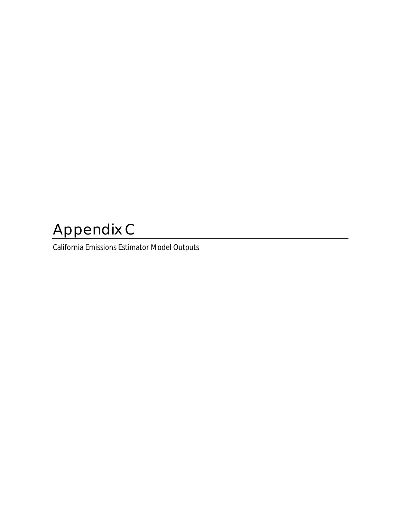# Appendix C

California Emissions Estimator Model Outputs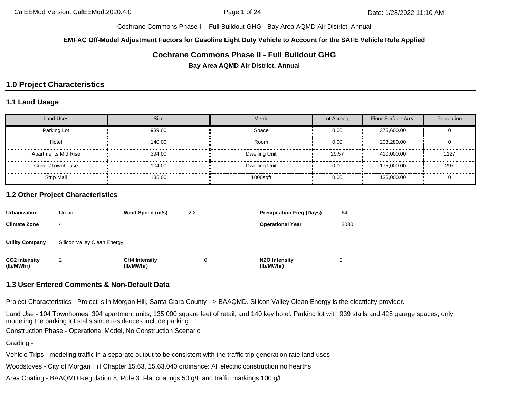**EMFAC Off-Model Adjustment Factors for Gasoline Light Duty Vehicle to Account for the SAFE Vehicle Rule Applied**

# **Cochrane Commons Phase II - Full Buildout GHG**

**Bay Area AQMD Air District, Annual**

# **1.0 Project Characteristics**

#### **1.1 Land Usage**

| <b>Land Uses</b>           | <b>Size</b> | <b>Metric</b> | Lot Acreage | Floor Surface Area | Population |
|----------------------------|-------------|---------------|-------------|--------------------|------------|
| Parking Lot                | 939.00      | Space         | 0.00        | 375,600.00         |            |
| Hotel                      | 140.00      | Room          | 0.00        | 203,280.00         |            |
| <b>Apartments Mid Rise</b> | 394.00      | Dwelling Unit | 29.57       | 410,000.00         | 1127       |
| Condo/Townhouse            | 104.00      | Dwelling Unit | 0.00        | 175,000.00         | 297        |
| <b>Strip Mall</b>          | 135.00      | 1000sqft      | 0.00        | 135,000.00         |            |

#### **1.2 Other Project Characteristics**

| <b>Urbanization</b>               | Urban                       | Wind Speed (m/s)                  | 2.2 | <b>Precipitation Freg (Days)</b>        | 64   |
|-----------------------------------|-----------------------------|-----------------------------------|-----|-----------------------------------------|------|
| <b>Climate Zone</b>               | 4                           |                                   |     | <b>Operational Year</b>                 | 2030 |
| <b>Utility Company</b>            | Silicon Valley Clean Energy |                                   |     |                                         |      |
| <b>CO2 Intensity</b><br>(lb/MWhr) | 2                           | <b>CH4 Intensity</b><br>(lb/MWhr) | 0   | N <sub>2</sub> O Intensity<br>(lb/MWhr) |      |

#### **1.3 User Entered Comments & Non-Default Data**

Project Characteristics - Project is in Morgan Hill, Santa Clara County --> BAAQMD. Silicon Valley Clean Energy is the electricity provider.

Land Use - 104 Townhomes, 394 apartment units, 135,000 square feet of retail, and 140 key hotel. Parking lot with 939 stalls and 428 garage spaces, only modeling the parking lot stalls since residences include parking

Construction Phase - Operational Model, No Construction Scenario

Grading -

Vehicle Trips - modeling traffic in a separate output to be consistent with the traffic trip generation rate land uses

Woodstoves - City of Morgan Hill Chapter 15.63, 15.63.040 ordinance: All electric construction no hearths

Area Coating - BAAQMD Regulation 8, Rule 3: Flat coatings 50 g/L and traffic markings 100 g/L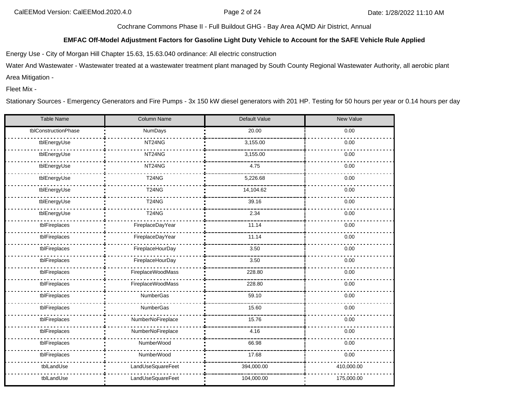#### **EMFAC Off-Model Adjustment Factors for Gasoline Light Duty Vehicle to Account for the SAFE Vehicle Rule Applied**

Energy Use - City of Morgan Hill Chapter 15.63, 15.63.040 ordinance: All electric construction

Water And Wastewater - Wastewater treated at a wastewater treatment plant managed by South County Regional Wastewater Authority, all aerobic plant Area Mitigation -

Fleet Mix -

Stationary Sources - Emergency Generators and Fire Pumps - 3x 150 kW diesel generators with 201 HP. Testing for 50 hours per year or 0.14 hours per day

| Table Name           | Column Name       | Default Value | <b>New Value</b> |  |  |  |
|----------------------|-------------------|---------------|------------------|--|--|--|
| tblConstructionPhase | <b>NumDays</b>    | 20.00         | 0.00             |  |  |  |
| tblEnergyUse         | NT24NG            | 3,155.00      | 0.00             |  |  |  |
| tblEnergyUse         | NT24NG            | 3,155.00      | 0.00             |  |  |  |
| tblEnergyUse         | NT24NG            | 4.75          | 0.00             |  |  |  |
| tblEnergyUse         | <b>T24NG</b>      | 5,226.68      | 0.00             |  |  |  |
| tblEnergyUse         | <b>T24NG</b>      | 14,104.62     | 0.00             |  |  |  |
| tblEnergyUse         | <b>T24NG</b>      | 39.16         | 0.00             |  |  |  |
| tblEnergyUse         | <b>T24NG</b>      | 2.34          | 0.00             |  |  |  |
| tblFireplaces        | FireplaceDayYear  | 11.14         | 0.00             |  |  |  |
| tblFireplaces        | FireplaceDayYear  | 11.14         | 0.00             |  |  |  |
| tblFireplaces        | FireplaceHourDay  | 3.50          | 0.00             |  |  |  |
| tblFireplaces        | FireplaceHourDay  | 3.50          | 0.00             |  |  |  |
| tblFireplaces        | FireplaceWoodMass | 228.80        | 0.00             |  |  |  |
| tblFireplaces        | FireplaceWoodMass | 228.80        | 0.00             |  |  |  |
| tblFireplaces        | NumberGas         | 59.10         | 0.00             |  |  |  |
| tblFireplaces        | NumberGas         | 15.60         | 0.00             |  |  |  |
| tblFireplaces        | NumberNoFireplace | 15.76         | 0.00             |  |  |  |
| tblFireplaces        | NumberNoFireplace | 4.16          | 0.00             |  |  |  |
| tblFireplaces        | NumberWood        | 66.98         | 0.00             |  |  |  |
| tblFireplaces        | NumberWood        | 17.68         | 0.00             |  |  |  |
| tblLandUse           | LandUseSquareFeet | 394,000.00    | 410,000.00       |  |  |  |
| tblLandUse           | LandUseSquareFeet | 104,000.00    | 175,000.00       |  |  |  |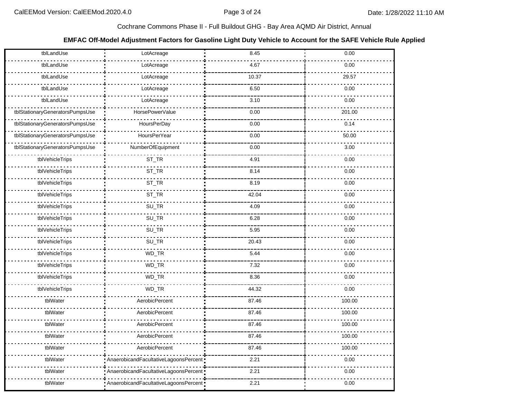## **EMFAC Off-Model Adjustment Factors for Gasoline Light Duty Vehicle to Account for the SAFE Vehicle Rule Applied**

| tblLandUse                      | LotAcreage                            | 8.45  | 0.00   |
|---------------------------------|---------------------------------------|-------|--------|
| tblLandUse                      | LotAcreage                            | 4.67  | 0.00   |
| tblLandUse                      | LotAcreage                            | 10.37 | 29.57  |
| tblLandUse                      | LotAcreage                            | 6.50  | 0.00   |
| tblLandUse                      | LotAcreage                            | 3.10  | 0.00   |
| tblStationaryGeneratorsPumpsUse | HorsePowerValue                       | 0.00  | 201.00 |
| tblStationaryGeneratorsPumpsUse | HoursPerDay                           | 0.00  | 0.14   |
| tblStationaryGeneratorsPumpsUse | <b>HoursPerYear</b>                   | 0.00  | 50.00  |
| tblStationaryGeneratorsPumpsUse | NumberOfEquipment                     | 0.00  | 3.00   |
| tblVehicleTrips                 | ST_TR                                 | 4.91  | 0.00   |
| tblVehicleTrips                 | ST_TR                                 | 8.14  | 0.00   |
| tblVehicleTrips                 | ST_TR                                 | 8.19  | 0.00   |
| tblVehicleTrips                 | ST_TR                                 | 42.04 | 0.00   |
| tblVehicleTrips                 | $SU_TR$                               | 4.09  | 0.00   |
| tblVehicleTrips                 | SU_TR                                 | 6.28  | 0.00   |
| tblVehicleTrips                 | SU_TR                                 | 5.95  | 0.00   |
| tblVehicleTrips                 | $SU_TR$                               | 20.43 | 0.00   |
| tblVehicleTrips                 | WD_TR                                 | 5.44  | 0.00   |
| tblVehicleTrips                 | WD_TR                                 | 7.32  | 0.00   |
| tblVehicleTrips                 | WD_TR                                 | 8.36  | 0.00   |
| tblVehicleTrips                 | WD_TR                                 | 44.32 | 0.00   |
| tblWater                        | AerobicPercent                        | 87.46 | 100.00 |
| tblWater                        | AerobicPercent                        | 87.46 | 100.00 |
| tblWater                        | AerobicPercent                        | 87.46 | 100.00 |
| tblWater                        | AerobicPercent                        | 87.46 | 100.00 |
| tblWater                        | AerobicPercent                        | 87.46 | 100.00 |
| tblWater                        | AnaerobicandFacultativeLagoonsPercent | 2.21  | 0.00   |
| tblWater                        | AnaerobicandFacultativeLagoonsPercent | 2.21  | 0.00   |
| tblWater                        | AnaerobicandFacultativeLagoonsPercent | 2.21  | 0.00   |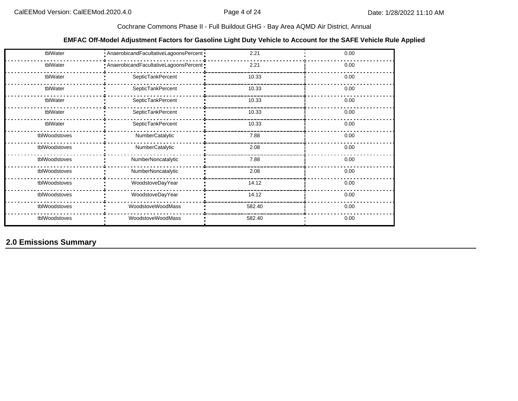## **EMFAC Off-Model Adjustment Factors for Gasoline Light Duty Vehicle to Account for the SAFE Vehicle Rule Applied**

| tblWater      | - AnaerobicandFacultativeLagoonsPercent   | 2.21   | 0.00 |
|---------------|-------------------------------------------|--------|------|
| tblWater      | - AnaerobicandFacultativeLagoonsPercent - | 2.21   | 0.00 |
| tblWater      | SepticTankPercent                         | 10.33  | 0.00 |
| tblWater      | SepticTankPercent                         | 10.33  | 0.00 |
| tblWater      | SepticTankPercent                         | 10.33  | 0.00 |
| tblWater      | SepticTankPercent                         | 10.33  | 0.00 |
| tblWater      | SepticTankPercent                         | 10.33  | 0.00 |
| tblWoodstoves | NumberCatalytic                           | 7.88   | 0.00 |
| tblWoodstoves | NumberCatalytic                           | 2.08   | 0.00 |
| tblWoodstoves | NumberNoncatalytic                        | 7.88   | 0.00 |
| tblWoodstoves | NumberNoncatalytic                        | 2.08   | 0.00 |
| tblWoodstoves | WoodstoveDayYear                          | 14.12  | 0.00 |
| tblWoodstoves | WoodstoveDayYear                          | 14.12  | 0.00 |
| tblWoodstoves | WoodstoveWoodMass                         | 582.40 | 0.00 |
| tblWoodstoves | WoodstoveWoodMass                         | 582.40 | 0.00 |

**2.0 Emissions Summary**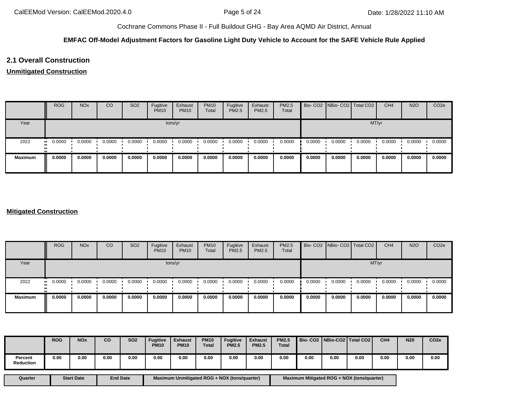#### **EMFAC Off-Model Adjustment Factors for Gasoline Light Duty Vehicle to Account for the SAFE Vehicle Rule Applied**

# **2.1 Overall Construction**

#### **Unmitigated Construction**

|                | <b>ROG</b> | <b>NO<sub>x</sub></b> | <sub>CO</sub> | <b>SO2</b> | Fugitive<br><b>PM10</b> | Exhaust<br><b>PM10</b> | <b>PM10</b><br>Total | Fugitive<br>PM2.5 | Exhaust<br>PM2.5 | PM2.5<br>Total |        | Bio- CO2 NBio- CO2 Total CO2 |        | CH <sub>4</sub> | <b>N2O</b> | CO <sub>2e</sub> |  |
|----------------|------------|-----------------------|---------------|------------|-------------------------|------------------------|----------------------|-------------------|------------------|----------------|--------|------------------------------|--------|-----------------|------------|------------------|--|
| Year           | tons/yr    |                       |               |            |                         |                        |                      |                   |                  |                |        | MT/yr                        |        |                 |            |                  |  |
| 2022           | 0.0000<br> | 0.0000                | 0.0000        | 0.0000     | 0.0000                  | 0.0000                 | 0.0000               | 0.0000            | 0.0000           | 0.0000         | 0.0000 | 0.0000                       | 0.0000 | 0.0000          | 0.0000     | 0.0000           |  |
| <b>Maximum</b> | 0.0000     | 0.0000                | 0.0000        | 0.0000     | 0.0000                  | 0.0000                 | 0.0000               | 0.0000            | 0.0000           | 0.0000         | 0.0000 | 0.0000                       | 0.0000 | 0.0000          | 0.0000     | 0.0000           |  |

## **Mitigated Construction**

|                | <b>ROG</b>                 | <b>NO<sub>x</sub></b> | CO     | SO <sub>2</sub> | Fugitive<br><b>PM10</b> | Exhaust<br><b>PM10</b> | <b>PM10</b><br>Total | Fugitive<br><b>PM2.5</b> | Exhaust<br><b>PM2.5</b> | <b>PM2.5</b><br>Total |        | Bio- CO2 NBio- CO2 Total CO2 |        | CH <sub>4</sub> | <b>N2O</b> | CO <sub>2e</sub> |  |
|----------------|----------------------------|-----------------------|--------|-----------------|-------------------------|------------------------|----------------------|--------------------------|-------------------------|-----------------------|--------|------------------------------|--------|-----------------|------------|------------------|--|
| Year           | tons/yr                    |                       |        |                 |                         |                        |                      |                          |                         |                       |        | MT/yr                        |        |                 |            |                  |  |
| 2022           | 0.0000<br>$\bullet\bullet$ | 0.0000                | 0.0000 | 0.0000          | 0.0000                  | 0.0000                 | 0.0000               | 0.0000                   | 0.0000                  | 0.0000                | 0.0000 | 0.0000                       | 0.0000 | 0.0000          | 0.0000     | 0.0000           |  |
| <b>Maximum</b> | 0.0000                     | 0.0000                | 0.0000 | 0.0000          | 0.0000                  | 0.0000                 | 0.0000               | 0.0000                   | 0.0000                  | 0.0000                | 0.0000 | 0.0000                       | 0.0000 | 0.0000          | 0.0000     | 0.0000           |  |

|                      | <b>ROG</b> | <b>NO<sub>x</sub></b> | <b>CO</b> | <b>SO2</b> | <b>Fugitive</b><br><b>PM10</b> | <b>Exhaust</b><br><b>PM10</b> | <b>PM10</b><br><b>Total</b> | <b>Fugitive</b><br><b>PM2.5</b> | <b>Exhaust</b><br><b>PM2.5</b> | <b>PM2.5</b><br><b>Total</b> |      |      | Bio- CO2   NBio-CO2   Total CO2 | CH <sub>4</sub> | <b>N20</b> | CO <sub>2e</sub> |
|----------------------|------------|-----------------------|-----------|------------|--------------------------------|-------------------------------|-----------------------------|---------------------------------|--------------------------------|------------------------------|------|------|---------------------------------|-----------------|------------|------------------|
| Percent<br>Reduction | 0.00       | 0.00                  | 0.00      | 0.00       | 0.00                           | 0.00                          | 0.00                        | 0.00                            | 0.00                           | 0.00                         | 0.00 | 0.00 | 0.00                            | 0.00            | 0.00       | 0.00             |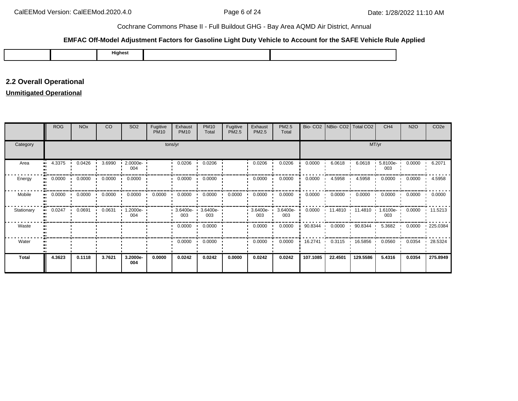## **EMFAC Off-Model Adjustment Factors for Gasoline Light Duty Vehicle to Account for the SAFE Vehicle Rule Applied**

|  |  | .<br>Highest |  |  |
|--|--|--------------|--|--|
|--|--|--------------|--|--|

# **2.2 Overall Operational**

# **Unmitigated Operational**

|              | <b>ROG</b>   | <b>NO<sub>x</sub></b> | CO     | SO <sub>2</sub> | Fugitive<br><b>PM10</b> | Exhaust<br><b>PM10</b> | <b>PM10</b><br>Total | Fugitive<br>PM2.5 | Exhaust<br>PM2.5   | PM2.5<br>Total  |          | Bio- CO2   NBio- CO2   Total CO2 |           | CH <sub>4</sub>                  | <b>N2O</b> | CO <sub>2e</sub> |  |
|--------------|--------------|-----------------------|--------|-----------------|-------------------------|------------------------|----------------------|-------------------|--------------------|-----------------|----------|----------------------------------|-----------|----------------------------------|------------|------------------|--|
| Category     | tons/yr      |                       |        |                 |                         |                        |                      |                   |                    |                 |          | MT/yr                            |           |                                  |            |                  |  |
| Area<br>     | 4.3375       | 0.0426                | 3.6990 | 2.0000e-<br>004 |                         | 0.0206                 | 0.0206               |                   | 0.0206             | 0.0206          | 0.0000   | 6.0618                           | 6.0618    | 5.8100e-<br>003                  | 0.0000     | 6.2071           |  |
| Energy<br>п. | 0.0000       | 0.0000                | 0.0000 | 0.0000          |                         | 0.0000                 | 0.0000               |                   | 0.0000             | 0.0000          | 0.0000   | 4.5958                           | 4.5958    | 0.0000                           | 0.0000     | 4.5958           |  |
| Mobile       | 0.0000<br>   | 0.0000                | 0.0000 | 0.0000          | 0.0000                  | 0.0000                 | 0.0000               | 0.0000            | 0.0000             | 0.0000          | 0.0000   | 0.0000                           | 0.0000    | 0.0000                           | 0.0000     | 0.0000           |  |
| Stationary   | 0.0247<br>ш. | 0.0691                | 0.0631 | 1.2000e-<br>004 |                         | 3.6400e-<br>003        | 3.6400e-<br>003      |                   | $3.6400e -$<br>003 | 3.6400e-<br>003 | 0.0000   |                                  |           | 11.4810  11.4810  1.6100e<br>003 | 0.0000     | 11.5213          |  |
| Waste        |              |                       |        |                 |                         | 0.0000                 | 0.0000               |                   | 0.0000             | 0.0000          | 90.8344  | 0.0000                           | 90.8344 · | 5.3682                           | 0.0000     | 225.0384         |  |
| Water        |              |                       |        |                 |                         | 0.0000                 | 0.0000               |                   | 0.0000             | 0.0000          | 16.2741  | 0.3115                           | 16.5856 • | 0.0560                           | 0.0354     | 28.5324          |  |
| <b>Total</b> | 4.3623       | 0.1118                | 3.7621 | 3.2000e-<br>004 | 0.0000                  | 0.0242                 | 0.0242               | 0.0000            | 0.0242             | 0.0242          | 107.1085 | 22.4501                          | 129.5586  | 5.4316                           | 0.0354     | 275.8949         |  |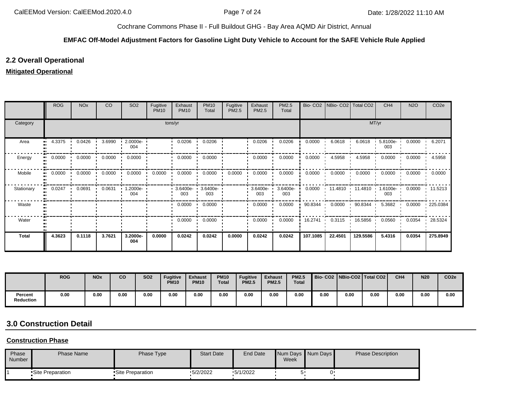#### **EMFAC Off-Model Adjustment Factors for Gasoline Light Duty Vehicle to Account for the SAFE Vehicle Rule Applied**

# **2.2 Overall Operational**

## **Mitigated Operational**

|              | <b>ROG</b> | <b>NO<sub>x</sub></b> | <b>CO</b> | SO <sub>2</sub>               | Fugitive<br><b>PM10</b> | Exhaust<br><b>PM10</b> | <b>PM10</b><br>Total   | Fugitive<br>PM2.5 | Exhaust<br>PM2.5 | PM2.5<br>Total  | Bio-CO <sub>2</sub> | NBio-CO <sub>2</sub> | Total CO <sub>2</sub> | CH <sub>4</sub>    | <b>N2O</b> | CO <sub>2</sub> e |  |
|--------------|------------|-----------------------|-----------|-------------------------------|-------------------------|------------------------|------------------------|-------------------|------------------|-----------------|---------------------|----------------------|-----------------------|--------------------|------------|-------------------|--|
| Category     | tons/yr    |                       |           |                               |                         |                        |                        |                   |                  |                 |                     | MT/yr                |                       |                    |            |                   |  |
| Area         | 4.3375     | 0.0426                | 3.6990    | $2.0000e -$<br>004            |                         | 0.0206                 | 0.0206                 |                   | 0.0206           | 0.0206          | 0.0000              | 6.0618               | 6.0618                | 5.8100e-<br>003    | 0.0000     | 6.2071            |  |
| Energy       | 0.0000     | 0.0000                | 0.0000    | 0.0000                        |                         | 0.0000                 | 0.0000                 |                   | 0.0000           | 0.0000          | 0.0000              | 4.5958               | 4.5958                | 0.0000             | 0.0000     | 4.5958            |  |
| Mobile       | 0.0000     | 0.0000                | 0.0000    | 0.0000<br>$\cdot$             | 0.0000                  | 0.0000                 | 0.0000<br>. .          | 0.0000            | 0.0000           | 0.0000          | 0.0000              | 0.0000<br>. .        | 0.0000                | 0.0000             | 0.0000     | 0.0000            |  |
| Stationary   | 0.0247     | 0.0691                | 0.0631    | $1.2000e -$<br>$\cdot$<br>004 |                         | 3.6400e-<br>003        | 3.6400e-<br>003        |                   | 3.6400e-<br>003  | 3.6400e-<br>003 | 0.0000              |                      | 11.4810 11.4810       | $1.6100e -$<br>003 | 0.0000     | 11.5213           |  |
| Waste        |            |                       |           |                               |                         | 0.0000                 | 0.0000<br>$\mathbf{r}$ |                   | 0.0000           | 0.0000          | 90.8344             | 0.0000               | 90.8344 ·             | 5.3682             | 0.0000     | $\cdot$ 225.0384  |  |
| Water        |            |                       |           |                               |                         | 0.0000                 | 0.0000                 |                   | 0.0000           | 0.0000          | 16.2741<br>. .      | 0.3115<br>. .        | 16.5856 •             | 0.0560             | 0.0354     | 28.5324           |  |
| <b>Total</b> | 4.3623     | 0.1118                | 3.7621    | 3.2000e-<br>004               | 0.0000                  | 0.0242                 | 0.0242                 | 0.0000            | 0.0242           | 0.0242          | 107.1085            | 22.4501              | 129.5586              | 5.4316             | 0.0354     | 275.8949          |  |

|                             | <b>ROG</b> | <b>NO<sub>x</sub></b> | co   | <b>SO2</b> | <b>Fugitive</b><br><b>PM10</b> | <b>Exhaust</b><br><b>PM10</b> | <b>PM10</b><br><b>Total</b> | <b>Fugitive</b><br><b>PM2.5</b> | <b>Exhaust</b><br><b>PM2.5</b> | <b>PM2.5</b><br><b>Total</b> |      |      | Bio- CO2   NBio-CO2   Total CO2 | CH <sub>4</sub> | <b>N20</b> | CO <sub>2e</sub> |
|-----------------------------|------------|-----------------------|------|------------|--------------------------------|-------------------------------|-----------------------------|---------------------------------|--------------------------------|------------------------------|------|------|---------------------------------|-----------------|------------|------------------|
| Percent<br><b>Reduction</b> | 0.00       | 0.00                  | 0.00 | 0.00       | 0.00                           | 0.00                          | 0.00                        | 0.00                            | 0.00                           | 0.00                         | 0.00 | 0.00 | 0.00                            | 0.00            | 0.00       | 0.00             |

# **3.0 Construction Detail**

#### **Construction Phase**

| Phase<br>Number | <b>Phase Name</b> | Phase Type        | <b>Start Date</b> | <b>End Date</b> | Num Days Num Days<br>Week | <b>Phase Description</b> |
|-----------------|-------------------|-------------------|-------------------|-----------------|---------------------------|--------------------------|
|                 | •Site Preparation | •Site Preparation | $-5/2/2022$       | $-5/1/2022$     |                           |                          |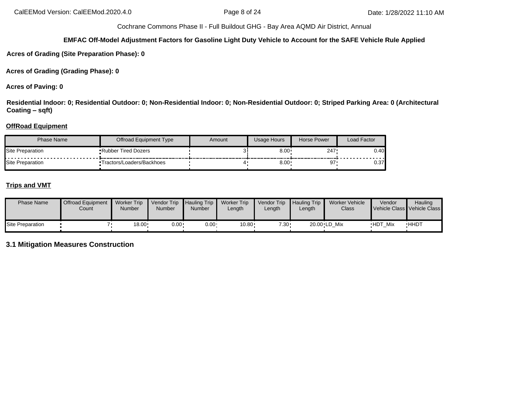#### **EMFAC Off-Model Adjustment Factors for Gasoline Light Duty Vehicle to Account for the SAFE Vehicle Rule Applied**

**Acres of Grading (Site Preparation Phase): 0**

**Acres of Grading (Grading Phase): 0**

**Acres of Paving: 0**

**Residential Indoor: 0; Residential Outdoor: 0; Non-Residential Indoor: 0; Non-Residential Outdoor: 0; Striped Parking Area: 0 (Architectural Coating – sqft)**

# **OffRoad Equipment**

| Phase Name              | Offroad Equipment Type     | Amount | Usage Hours  | Horse Power | Load Factor |
|-------------------------|----------------------------|--------|--------------|-------------|-------------|
| Site Preparation        | <b>Rubber Tired Dozers</b> |        | $8.00 \cdot$ | 247         | 0.40        |
| <b>Site Preparation</b> | Tractors/Loaders/Backhoes  |        | $8.00 \cdot$ | 97          | 0.37        |

# **Trips and VMT**

| <b>Phase Name</b> | <b>Offroad Equipment</b><br>Count | <b>Worker Trip</b><br>Number | Vendor Trip<br><b>Number</b> | <b>Hauling Trip</b><br>Number | Worker Trip<br>Length | Vendor Trip<br>Length | <b>Hauling Trip</b><br>Length | Worker Vehicle<br>Class | Vendor  | Hauling<br>Vehicle Class Vehicle Class |
|-------------------|-----------------------------------|------------------------------|------------------------------|-------------------------------|-----------------------|-----------------------|-------------------------------|-------------------------|---------|----------------------------------------|
| Site Preparation  |                                   | 18.00 •                      | $0.00 \cdot$                 | $0.00 -$                      | 10.80                 | 7.30 ·                |                               | 20.00 LD Mix            | HDT_Mix | <b>HHDT</b>                            |

# **3.1 Mitigation Measures Construction**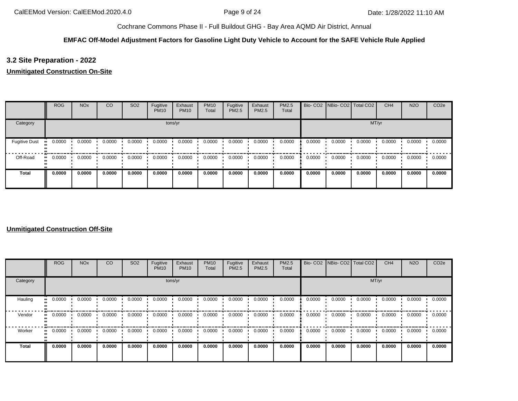# **EMFAC Off-Model Adjustment Factors for Gasoline Light Duty Vehicle to Account for the SAFE Vehicle Rule Applied**

# **3.2 Site Preparation - 2022**

## **Unmitigated Construction On-Site**

|                      | <b>ROG</b> | <b>NO<sub>x</sub></b> | CO     | SO <sub>2</sub> | Fugitive<br><b>PM10</b> | Exhaust<br><b>PM10</b> | <b>PM10</b><br>Total | Fugitive<br>PM2.5 | Exhaust<br>PM2.5 | PM2.5<br>Total |        |        | Bio- CO2 NBio- CO2 Total CO2 | CH <sub>4</sub> | <b>N2O</b> | CO <sub>2e</sub> |
|----------------------|------------|-----------------------|--------|-----------------|-------------------------|------------------------|----------------------|-------------------|------------------|----------------|--------|--------|------------------------------|-----------------|------------|------------------|
| Category             |            |                       |        |                 |                         | tons/yr                |                      |                   |                  |                |        |        | MT/yr                        |                 |            |                  |
| <b>Fugitive Dust</b> | 0.0000     | 0.0000                | 0.0000 | 0.0000          | 0.0000                  | 0.0000                 | 0.0000               | 0.0000            | 0.0000           | 0.0000         | 0.0000 | 0.0000 | 0.0000                       | 0.0000          | 0.0000     | 0.0000           |
| Off-Road             | 0.0000     | 0.0000                | 0.0000 | 0.0000          | 0.0000                  | 0.0000                 | 0.0000               | 0.0000            | 0.0000           | 0.0000         | 0.0000 | 0.0000 | 0.0000                       | 0.0000          | 0.0000     | 0.0000           |
| <b>Total</b>         | 0.0000     | 0.0000                | 0.0000 | 0.0000          | 0.0000                  | 0.0000                 | 0.0000               | 0.0000            | 0.0000           | 0.0000         | 0.0000 | 0.0000 | 0.0000                       | 0.0000          | 0.0000     | 0.0000           |

## **Unmitigated Construction Off-Site**

|          | ROG     | <b>NO<sub>x</sub></b> | <sub>CO</sub> | SO <sub>2</sub> | Fugitive<br><b>PM10</b> | Exhaust<br><b>PM10</b> | <b>PM10</b><br>Total | Fugitive<br><b>PM2.5</b> | Exhaust<br>PM2.5 | <b>PM2.5</b><br>Total |        |        | Bio- CO2 NBio- CO2 Total CO2 | CH <sub>4</sub> | <b>N2O</b> | CO <sub>2e</sub> |
|----------|---------|-----------------------|---------------|-----------------|-------------------------|------------------------|----------------------|--------------------------|------------------|-----------------------|--------|--------|------------------------------|-----------------|------------|------------------|
| Category | tons/yr |                       |               |                 |                         |                        |                      |                          |                  |                       |        |        | MT/yr                        |                 |            |                  |
| Hauling  | 0.0000  | 0.0000                | 0.0000        | 0.0000          | 0.0000                  | 0.0000                 | 0.0000               | 0.0000                   | 0.0000           | 0.0000                | 0.0000 | 0.0000 | 0.0000                       | 0.0000          | 0.0000     | 0.0000           |
| Vendor   | 0.0000  | 0.0000                | 0.0000        | 0.0000          | 0.0000                  | 0.0000                 | 0.0000               | 0.0000                   | 0.0000           | 0.0000                | 0.0000 | 0.0000 | 0.0000                       | 0.0000          | 0.0000     | 0.0000           |
| Worker   | 0.0000  | 0.0000                | 0.0000        | 0.0000          | 0.0000                  | 0.0000                 | 0.0000               | 0.0000                   | 0.0000           | 0.0000                | 0.0000 | 0.0000 | 0.0000                       | 0.0000          | 0.0000     | 0.0000           |
| Total    | 0.0000  | 0.0000                | 0.0000        | 0.0000          | 0.0000                  | 0.0000                 | 0.0000               | 0.0000                   | 0.0000           | 0.0000                | 0.0000 | 0.0000 | 0.0000                       | 0.0000          | 0.0000     | 0.0000           |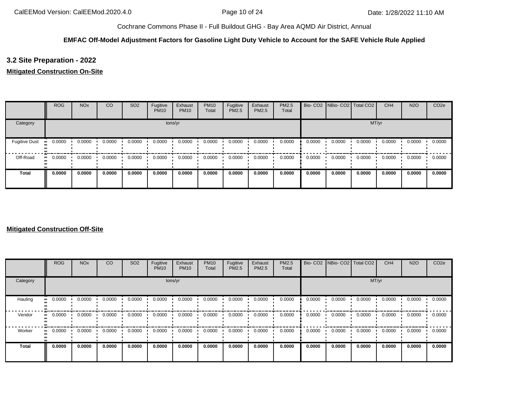# **EMFAC Off-Model Adjustment Factors for Gasoline Light Duty Vehicle to Account for the SAFE Vehicle Rule Applied**

# **3.2 Site Preparation - 2022**

## **Mitigated Construction On-Site**

|                      | <b>ROG</b>   | <b>NO<sub>x</sub></b> | CO     | SO <sub>2</sub> | Fugitive<br><b>PM10</b> | Exhaust<br><b>PM10</b> | <b>PM10</b><br>Total | Fugitive<br>PM2.5 | Exhaust<br><b>PM2.5</b> | <b>PM2.5</b><br>Total |        | Bio- CO2   NBio- CO2   Total CO2 |        | CH <sub>4</sub> | <b>N2O</b> | CO <sub>2e</sub> |
|----------------------|--------------|-----------------------|--------|-----------------|-------------------------|------------------------|----------------------|-------------------|-------------------------|-----------------------|--------|----------------------------------|--------|-----------------|------------|------------------|
| Category             |              |                       |        |                 |                         | tons/yr                |                      |                   |                         |                       |        |                                  | MT/yr  |                 |            |                  |
| <b>Fugitive Dust</b> | 0.0000       | 0.0000                | 0.0000 | 0.0000          | 0.0000                  | 0.0000                 | 0.0000               | 0.0000            | 0.0000                  | 0.0000                | 0.0000 | 0.0000                           | 0.0000 | 0.0000          | 0.0000     | 0.0000           |
| Off-Road             | 0.0000<br>ш. | 0.0000                | 0.0000 | 0.0000          | 0.0000                  | 0.0000                 | 0.0000               | 0.0000            | 0.0000                  | 0.0000                | 0.0000 | 0.0000                           | 0.0000 | 0.0000          | 0.0000     | 0.0000           |
| <b>Total</b>         | 0.0000       | 0.0000                | 0.0000 | 0.0000          | 0.0000                  | 0.0000                 | 0.0000               | 0.0000            | 0.0000                  | 0.0000                | 0.0000 | 0.0000                           | 0.0000 | 0.0000          | 0.0000     | 0.0000           |

## **Mitigated Construction Off-Site**

|              | <b>ROG</b> | <b>NO<sub>x</sub></b> | CO     | SO <sub>2</sub> | Fugitive<br><b>PM10</b> | Exhaust<br><b>PM10</b> | <b>PM10</b><br>Total | Fugitive<br>PM2.5 | Exhaust<br><b>PM2.5</b> | <b>PM2.5</b><br>Total |        | Bio- CO2   NBio- CO2   Total CO2 |        | CH <sub>4</sub> | <b>N2O</b> | CO <sub>2e</sub> |
|--------------|------------|-----------------------|--------|-----------------|-------------------------|------------------------|----------------------|-------------------|-------------------------|-----------------------|--------|----------------------------------|--------|-----------------|------------|------------------|
| Category     | tons/yr    |                       |        |                 |                         |                        |                      |                   |                         |                       |        |                                  | MT/yr  |                 |            |                  |
| Hauling      | 0.0000     | 0.0000                | 0.0000 | 0.0000          | 0.0000                  | 0.0000                 | 0.0000               | 0.0000            | 0.0000                  | 0.0000                | 0.0000 | 0.0000                           | 0.0000 | 0.0000          | 0.0000     | 0.0000           |
| Vendor       | 0.0000     | 0.0000                | 0.0000 | 0.0000          | 0.0000                  | 0.0000                 | 0.0000               | 0.0000            | 0.0000                  | 0.0000                | 0.0000 | 0.0000                           | 0.0000 | 0.0000          | 0.0000     | 0.0000           |
| Worker       | 0.0000     | 0.0000                | 0.0000 | 0.0000          | 0.0000                  | 0.0000                 | 0.0000               | 0.0000            | 0.0000                  | 0.0000                | 0.0000 | 0.0000                           | 0.0000 | 0.0000          | 0.0000     | 0.0000           |
| <b>Total</b> | 0.0000     | 0.0000                | 0.0000 | 0.0000          | 0.0000                  | 0.0000                 | 0.0000               | 0.0000            | 0.0000                  | 0.0000                | 0.0000 | 0.0000                           | 0.0000 | 0.0000          | 0.0000     | 0.0000           |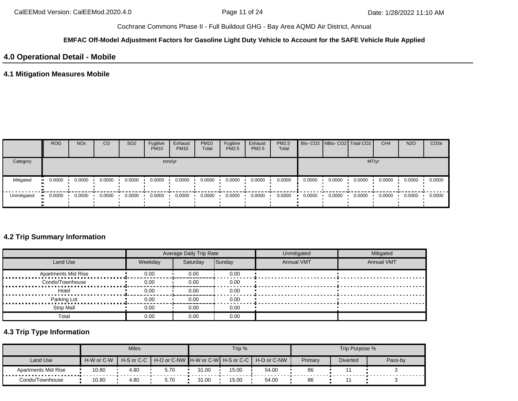#### **EMFAC Off-Model Adjustment Factors for Gasoline Light Duty Vehicle to Account for the SAFE Vehicle Rule Applied**

# **4.0 Operational Detail - Mobile**

# **4.1 Mitigation Measures Mobile**

|             | <b>ROG</b> | <b>NO<sub>x</sub></b> | CO     | SO <sub>2</sub> | Fugitive<br><b>PM10</b> | Exhaust<br><b>PM10</b> | <b>PM10</b><br>Total | Fugitive<br>PM2.5 | Exhaust<br><b>PM2.5</b> | PM2.5<br>Total |        | Bio- CO2 NBio- CO2   Total CO2 |        | CH <sub>4</sub> | <b>N2O</b> | CO <sub>2</sub> e |
|-------------|------------|-----------------------|--------|-----------------|-------------------------|------------------------|----------------------|-------------------|-------------------------|----------------|--------|--------------------------------|--------|-----------------|------------|-------------------|
| Category    | tons/yr    |                       |        |                 |                         |                        |                      |                   |                         |                |        |                                |        | MT/yr           |            |                   |
| Mitigated   | 0.0000     | 0.0000                | 0.0000 | 0.0000          | 0.0000                  | 0.0000                 | 0.0000               | 0.0000            | 0.0000                  | 0.0000         | 0.0000 | 0.0000                         | 0.0000 | 0.0000          | 0.0000     | 0.0000            |
| Unmitigated | 0.0000     | 0.0000                | 0.0000 | 0.0000          | 0.0000                  | 0.0000                 | 0.0000               | 0.0000            | 0.0000                  | 0.0000         | 0.0000 | 0.0000                         | 0.0000 | 0.0000          | 0.0000     | 0.0000            |

# **4.2 Trip Summary Information**

|                            |         | Average Daily Trip Rate |        | Unmitigated       | Mitigated         |
|----------------------------|---------|-------------------------|--------|-------------------|-------------------|
| Land Use                   | Weekday | Saturday                | Sunday | <b>Annual VMT</b> | <b>Annual VMT</b> |
| <b>Apartments Mid Rise</b> | 0.00    | 0.00                    | 0.00   |                   |                   |
| Condo/Townhouse            | 0.00    | 0.00                    | 0.00   |                   |                   |
| Hotel                      | 0.00    | 0.00                    | 0.00   |                   |                   |
| Parking Lot                | 0.00    | 0.00                    | 0.00   |                   |                   |
| <b>Strip Mall</b>          | 0.00    | 0.00                    | 0.00   |                   |                   |
| Total                      | 0.00    | 0.00                    | 0.00   |                   |                   |

# **4.3 Trip Type Information**

|                     |                       | <b>Miles</b> |                                                                |       | Trip % |       |         | Trip Purpose %  |         |
|---------------------|-----------------------|--------------|----------------------------------------------------------------|-------|--------|-------|---------|-----------------|---------|
| Land Use            | H-W or C-W            |              | H-S or C-C │ H-O or C-NW ┃H-W or C-W┃ H-S or C-C ┃ H-O or C-NW |       |        |       | Primary | <b>Diverted</b> | Pass-by |
| Apartments Mid Rise | 10.80                 | 4.80         | 5.70                                                           | 31.00 | 15.00  | 54.00 | 86      |                 |         |
| Condo/Townhouse     | 10.80<br>4.80<br>5.70 |              |                                                                | 31.00 | 15.00  | 54.00 | 86      |                 |         |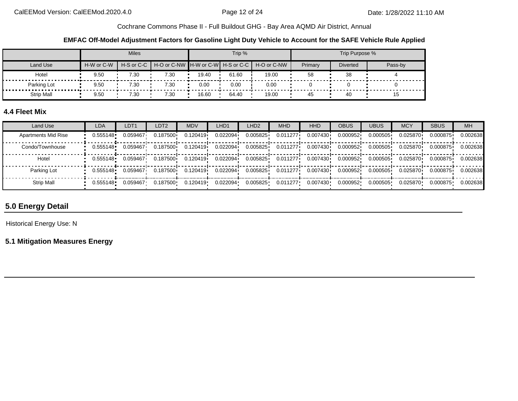**EMFAC Off-Model Adjustment Factors for Gasoline Light Duty Vehicle to Account for the SAFE Vehicle Rule Applied**

|                   |            | <b>Miles</b> |                                                          |       | Trip % |       |         | Trip Purpose %  |         |
|-------------------|------------|--------------|----------------------------------------------------------|-------|--------|-------|---------|-----------------|---------|
| Land Use          | H-W or C-W |              | H-S or C-C H-O or C-NW H-W or C-W H-S or C-C H-O or C-NW |       |        |       | Primary | <b>Diverted</b> | Pass-by |
| Hotel             | 9.50       | 7.30         | 7.30                                                     | 19.40 | 61.60  | 19.00 | 58      | 38              |         |
| Parking Lot<br>.  | 9.50       | 7.30         | 7.30                                                     | 0.00  | 0.00   | 0.00  |         |                 |         |
| <b>Strip Mall</b> | 9.50       | 7.30         | 7.30                                                     | 16.60 | 64.40  | 19.00 | 45      |                 | 15      |

# **4.4 Fleet Mix**

| Land Use                   | <b>LDA</b> | LDT <sub>1</sub> | LDT <sub>2</sub> | <b>MDV</b> | LHD1     | LHD <sub>2</sub> | <b>MHD</b> | HHD       | <b>OBUS</b> | <b>UBUS</b> | <b>MCY</b> | <b>SBUS</b> | <b>MH</b> |
|----------------------------|------------|------------------|------------------|------------|----------|------------------|------------|-----------|-------------|-------------|------------|-------------|-----------|
| <b>Apartments Mid Rise</b> | 0.555148   | 0.059467         | 0.187500         | 0.120419   | 0.022094 | 0.005825         | 0.011277   | 0.007430  | 0.000952    | 0.000505    | 0.025870   | 0.000875    | 0.002638  |
| Condo/Townhouse            | 0.555148   | 0.059467         | 0.187500         | 0.120419   | 0.022094 | 0.005825         | 0.011277   | 0.007430i | 0.000952    | 0.000505    | 0.025870   | 0.000875    | 0.002638  |
| Hotel                      | 0.555148   | 0.059467         | 0.187500         | 0.120419   | 0.022094 | 0.005825         | 0.011277   | 0.007430  | 0.000952    | 0.000505    | 0.025870   | 0.000875    | 0.002638  |
| Parking Lot                | 0.555148   | 0.059467         | 0.187500         | 0.120419   | 0.022094 | 0.005825         | 0.011277   | 0.007430  | 0.000952    | 0.000505    | 0.025870   | 0.000875    | 0.002638  |
| Strip Mall                 | 0.555148   | 0.059467         | 0.187500         | 0.120419   | 0.022094 | 0.005825         | 0.011277   | 0.007430  | 0.000952    | 0.000505    | 0.025870   | 0.000875    | 0.002638  |

# **5.0 Energy Detail**

Historical Energy Use: N

**5.1 Mitigation Measures Energy**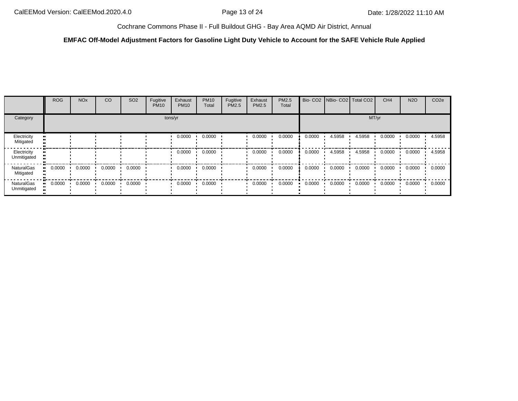## **EMFAC Off-Model Adjustment Factors for Gasoline Light Duty Vehicle to Account for the SAFE Vehicle Rule Applied**

|                                | <b>ROG</b> | <b>NO<sub>x</sub></b> | CO     | SO <sub>2</sub> | Fugitive<br><b>PM10</b> | Exhaust<br><b>PM10</b> | <b>PM10</b><br>Total | Fugitive<br>PM2.5 | Exhaust<br>PM2.5 | PM2.5<br>Total |        | Bio- CO2   NBio- CO2   Total CO2 |        | CH <sub>4</sub> | <b>N2O</b> | CO <sub>2e</sub> |
|--------------------------------|------------|-----------------------|--------|-----------------|-------------------------|------------------------|----------------------|-------------------|------------------|----------------|--------|----------------------------------|--------|-----------------|------------|------------------|
| Category                       |            |                       |        |                 |                         | tons/yr                |                      |                   |                  |                |        |                                  | MT/yr  |                 |            |                  |
| Electricity<br>Mitigated       |            |                       |        |                 |                         | 0.0000                 | 0.0000               |                   | 0.0000           | 0.0000         | 0.0000 | 4.5958                           | 4.5958 | 0.0000          | 0.0000     | 4.5958           |
| Electricity<br>Unmitigated     |            |                       |        |                 |                         | 0.0000                 | 0.0000               |                   | 0.0000           | 0.0000         | 0.0000 | 4.5958                           | 4.5958 | 0.0000          | 0.0000     | 4.5958           |
| <b>NaturalGas</b><br>Mitigated | 0.0000     | 0.0000                | 0.0000 | 0.0000          |                         | 0.0000                 | 0.0000               |                   | 0.0000           | 0.0000         | 0.0000 | 0.0000                           | 0.0000 | 0.0000          | 0.0000     | 0.0000           |
| NaturalGas<br>Unmitigated      | 0.0000     | 0.0000                | 0.0000 | 0.0000          |                         | 0.0000                 | 0.0000               |                   | 0.0000           | 0.0000         | 0.0000 | 0.0000                           | 0.0000 | 0.0000          | 0.0000     | 0.0000           |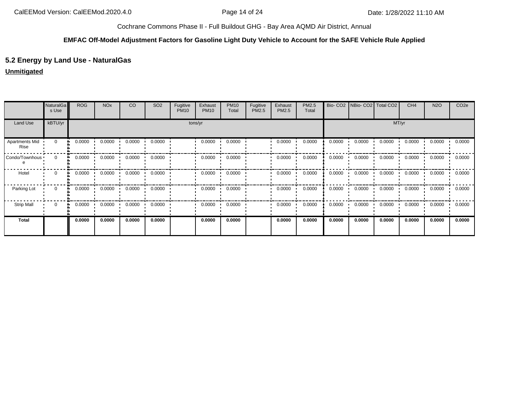#### **EMFAC Off-Model Adjustment Factors for Gasoline Light Duty Vehicle to Account for the SAFE Vehicle Rule Applied**

# **5.2 Energy by Land Use - NaturalGas**

## **Unmitigated**

|                        | <b>NaturalGa</b><br>s Use | <b>ROG</b> | <b>NO<sub>x</sub></b> | CO            | SO <sub>2</sub> | Fugitive<br><b>PM10</b> | Exhaust<br><b>PM10</b> | <b>PM10</b><br>Total | Fugitive<br>PM2.5 | Exhaust<br>PM2.5 | PM2.5<br>Total |        | Bio- CO2   NBio- CO2   Total CO2 |        | CH <sub>4</sub> | <b>N2O</b> | CO <sub>2e</sub> |
|------------------------|---------------------------|------------|-----------------------|---------------|-----------------|-------------------------|------------------------|----------------------|-------------------|------------------|----------------|--------|----------------------------------|--------|-----------------|------------|------------------|
| Land Use               | kBTU/yr                   |            | tons/yr               |               |                 |                         |                        |                      |                   |                  |                |        |                                  | MT/yr  |                 |            |                  |
| Apartments Mid<br>Rise | 0                         | 0.0000     | 0.0000                | 0.0000        | 0.0000          |                         | 0.0000                 | 0.0000               |                   | 0.0000           | 0.0000         | 0.0000 | 0.0000                           | 0.0000 | 0.0000          | 0.0000     | 0.0000           |
| Condo/Townhous         | $\Omega$<br>ш.            | 0.0000     | 0.0000                | 0.0000<br>. . | 0.0000          |                         | 0.0000                 | 0.0000               |                   | 0.0000           | 0.0000         | 0.0000 | 0.0000                           | 0.0000 | 0.0000          | 0.0000     | 0.0000           |
| Hotel                  | $\Omega$<br>ш.            | 0.0000     | 0.0000                | 0.0000        | 0.0000          |                         | 0.0000                 | 0.0000               |                   | 0.0000           | 0.0000         | 0.0000 | 0.0000                           | 0.0000 | 0.0000          | 0.0000     | 0.0000           |
| Parking Lot            | 0<br>a.                   | 0.0000     | 0.0000                | 0.0000        | 0.0000          |                         | 0.0000                 | 0.0000               |                   | 0.0000           | 0.0000         | 0.0000 | 0.0000                           | 0.0000 | 0.0000          | 0.0000     | 0.0000           |
| <b>Strip Mall</b>      | $\mathbf 0$               | 0.0000     | 0.0000                | 0.0000        | 0.0000          |                         | 0.0000                 | 0.0000               |                   | 0.0000           | 0.0000         | 0.0000 | 0.0000                           | 0.0000 | 0.0000          | 0.0000     | 0.0000           |
| <b>Total</b>           |                           | 0.0000     | 0.0000                | 0.0000        | 0.0000          |                         | 0.0000                 | 0.0000               |                   | 0.0000           | 0.0000         | 0.0000 | 0.0000                           | 0.0000 | 0.0000          | 0.0000     | 0.0000           |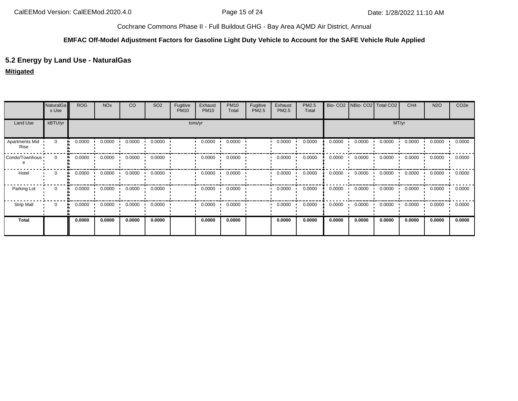#### **EMFAC Off-Model Adjustment Factors for Gasoline Light Duty Vehicle to Account for the SAFE Vehicle Rule Applied**

# **5.2 Energy by Land Use - NaturalGas**

## **Mitigated**

|                        | NaturalGa<br>s Use | <b>ROG</b>   | <b>NO<sub>x</sub></b> | CO     | SO <sub>2</sub> | Fugitive<br><b>PM10</b> | Exhaust<br><b>PM10</b> | <b>PM10</b><br>Total | Fugitive<br>PM2.5 | Exhaust<br>PM2.5 | PM2.5<br>Total |        | Bio- CO2   NBio- CO2   Total CO2 |        | CH <sub>4</sub> | <b>N2O</b>    | CO <sub>2e</sub> |
|------------------------|--------------------|--------------|-----------------------|--------|-----------------|-------------------------|------------------------|----------------------|-------------------|------------------|----------------|--------|----------------------------------|--------|-----------------|---------------|------------------|
| Land Use               | kBTU/yr            |              | tons/yr               |        |                 |                         |                        |                      |                   |                  |                |        |                                  | MT/yr  |                 |               |                  |
| Apartments Mid<br>Rise | $\mathbf 0$        | 0.0000       | 0.0000                | 0.0000 | 0.0000          |                         | 0.0000                 | 0.0000               |                   | 0.0000           | 0.0000         | 0.0000 | 0.0000                           | 0.0000 | 0.0000          | 0.0000<br>. . | 0.0000           |
| Condo/Townhous         | $\mathbf 0$<br>a.  | 0.0000       | 0.0000                | 0.0000 | 0.0000          |                         | 0.0000                 | 0.0000               |                   | 0.0000           | 0.0000         | 0.0000 | 0.0000                           | 0.0000 | 0.0000          | 0.0000        | 0.0000           |
| Hotel                  | 0                  | 0.0000<br>ш. | 0.0000                | 0.0000 | 0.0000          |                         | 0.0000                 | 0.0000               |                   | 0.0000           | 0.0000         | 0.0000 | 0.0000                           | 0.0000 | 0.0000          | 0.0000        | 0.0000           |
| Parking Lot            | $\mathbf 0$<br>ш.  | 0.0000       | 0.0000                | 0.0000 | 0.0000          |                         | 0.0000                 | 0.0000               |                   | 0.0000           | 0.0000         | 0.0000 | 0.0000                           | 0.0000 | 0.0000          | 0.0000        | 0.0000           |
| <b>Strip Mall</b>      | 0<br>a.            | 0.0000       | 0.0000                | 0.0000 | 0.0000          |                         | 0.0000                 | 0.0000               |                   | 0.0000           | 0.0000         | 0.0000 | 0.0000                           | 0.0000 | 0.0000          | 0.0000        | 0.0000           |
| <b>Total</b>           |                    | 0.0000       | 0.0000                | 0.0000 | 0.0000          |                         | 0.0000                 | 0.0000               |                   | 0.0000           | 0.0000         | 0.0000 | 0.0000                           | 0.0000 | 0.0000          | 0.0000        | 0.0000           |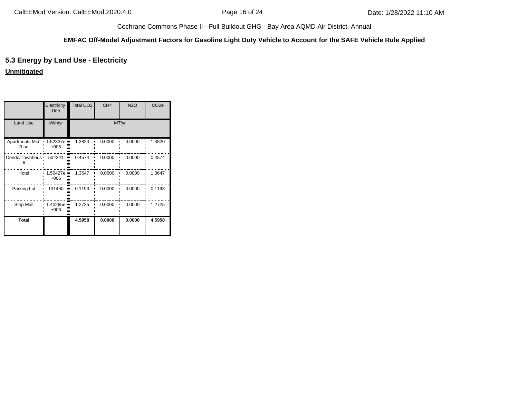#### **EMFAC Off-Model Adjustment Factors for Gasoline Light Duty Vehicle to Account for the SAFE Vehicle Rule Applied**

# **5.3 Energy by Land Use - Electricity**

**Unmitigated**

|                                      | Electricity<br>Use | Total CO <sub>2</sub> | CH <sub>4</sub> | <b>N2O</b> | CO <sub>2e</sub> |
|--------------------------------------|--------------------|-----------------------|-----------------|------------|------------------|
| Land Use                             | kWh/yr             |                       | MT/yr           |            |                  |
| <b>Apartments Mid</b><br><b>Rise</b> | 1.52337e<br>$+006$ | 1.3820                | 0.0000          | 0.0000     | 1.3820           |
| Condo/Townhous ·<br>е                | 504241             | 0.4574                | 0.0000          | 0.0000     | 0.4574           |
| Hotel                                | 1.50427e<br>$+006$ | 1.3647                | 0.0000          | 0.0000     | 1.3647           |
| Parking Lot                          | 131460             | 0.1193                | 0.0000          | 0.0000     | 0.1193           |
| <b>Strip Mall</b>                    | 1.40265e<br>$+006$ | 1.2725                | 0.0000          | 0.0000     | 1.2725           |
| <b>Total</b>                         |                    | 4.5958                | 0.0000          | 0.0000     | 4.5958           |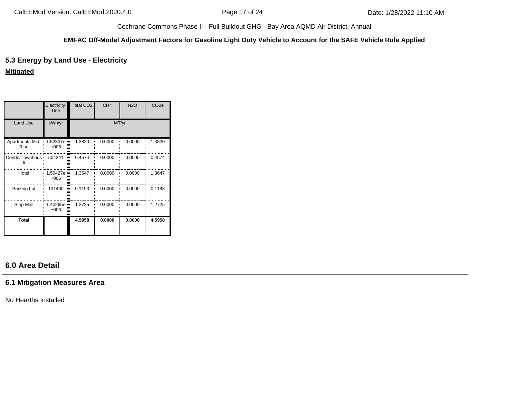#### **EMFAC Off-Model Adjustment Factors for Gasoline Light Duty Vehicle to Account for the SAFE Vehicle Rule Applied**

# **5.3 Energy by Land Use - Electricity**

#### **Mitigated**

|                               | Electricity<br>Use | Total CO <sub>2</sub> | CH <sub>4</sub> | <b>N2O</b> | CO <sub>2e</sub> |
|-------------------------------|--------------------|-----------------------|-----------------|------------|------------------|
| <b>Land Use</b>               | kWh/yr             |                       | MT/yr           |            |                  |
| <b>Apartments Mid</b><br>Rise | 1.52337e<br>$+006$ | 1.3820                | 0.0000          | 0.0000     | 1.3820           |
| Condo/Townhous ·              | 504241             | 0.4574                | 0.0000          | 0.0000     | 0.4574           |
| Hotel                         | 1.50427e<br>$+006$ | 1.3647                | 0.0000          | 0.0000     | 1.3647           |
| Parking Lot                   | 131460             | 0.1193                | 0.0000          | 0.0000     | 0.1193           |
| <b>Strip Mall</b>             | 1.40265e<br>$+006$ | 1.2725                | 0.0000          | 0.0000     | 1.2725           |
| <b>Total</b>                  |                    | 4.5958                | 0.0000          | 0.0000     | 4.5958           |

# **6.0 Area Detail**

# **6.1 Mitigation Measures Area**

No Hearths Installed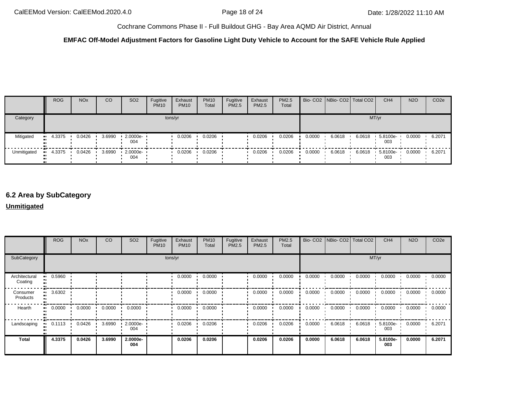## **EMFAC Off-Model Adjustment Factors for Gasoline Light Duty Vehicle to Account for the SAFE Vehicle Rule Applied**

|             | <b>ROG</b> | <b>NO<sub>x</sub></b> | <sub>CO</sub> | SO <sub>2</sub>                 | Fugitive<br><b>PM10</b> | Exhaust<br><b>PM10</b> | <b>PM10</b><br>Total | Fugitive<br>PM2.5 | Exhaust<br><b>PM2.5</b> | <b>PM2.5</b><br>Total |        | Bio- CO2 NBio- CO2 Total CO2 |        | CH <sub>4</sub> | <b>N2O</b> | CO <sub>2e</sub> |
|-------------|------------|-----------------------|---------------|---------------------------------|-------------------------|------------------------|----------------------|-------------------|-------------------------|-----------------------|--------|------------------------------|--------|-----------------|------------|------------------|
| Category    | tons/yr    |                       |               |                                 |                         |                        |                      |                   |                         |                       |        |                              |        | MT/yr           |            |                  |
| Mitigated   | $-4.3375$  | 0.0426                | 3.6990        | $2.0000e -$<br>004              |                         | 0.0206                 | 0.0206               |                   | 0.0206                  | 0.0206                | 0.0000 | 6.0618                       | 6.0618 | 5.8100e-<br>003 | 0.0000     | 6.2071           |
| Unmitigated | $-4.3375$  | 0.0426                | 3.6990        | $\cdot$ 2.0000e- $\cdot$<br>004 |                         | 0.0206                 | 0.0206               |                   | 0.0206                  | 0.0206                | 0.0000 | 6.0618                       | 6.0618 | 5.8100e-<br>003 | 0.0000     | 6.2071           |

# **6.2 Area by SubCategory**

#### **Unmitigated**

|                          | <b>ROG</b> | <b>NO<sub>x</sub></b> | CO     | SO <sub>2</sub> | Fugitive<br><b>PM10</b> | Exhaust<br><b>PM10</b> | <b>PM10</b><br>Total | Fugitive<br>PM2.5 | Exhaust<br><b>PM2.5</b> | PM2.5<br>Total |        | Bio- CO2   NBio- CO2   Total CO2 |        | CH <sub>4</sub> | <b>N2O</b> | CO <sub>2e</sub> |
|--------------------------|------------|-----------------------|--------|-----------------|-------------------------|------------------------|----------------------|-------------------|-------------------------|----------------|--------|----------------------------------|--------|-----------------|------------|------------------|
| SubCategory              |            | tons/yr               |        |                 |                         |                        |                      |                   |                         |                |        |                                  |        | MT/yr           |            |                  |
| Architectural<br>Coating | 0.5960     |                       |        |                 |                         | 0.0000                 | 0.0000               |                   | 0.0000                  | 0.0000         | 0.0000 | 0.0000                           | 0.0000 | 0.0000          | 0.0000     | 0.0000           |
| Consumer<br>Products     | 3.6302     |                       |        |                 |                         | 0.0000                 | 0.0000               |                   | 0.0000                  | 0.0000         | 0.0000 | 0.0000                           | 0.0000 | 0.0000          | 0.0000     | 0.0000           |
| Hearth                   | 0.0000     | 0.0000                | 0.0000 | 0.0000          |                         | 0.0000                 | 0.0000               |                   | 0.0000                  | 0.0000         | 0.0000 | 0.0000                           | 0.0000 | 0.0000          | 0.0000     | 0.0000           |
| Landscaping              | 0.1113     | 0.0426                | 3.6990 | 2.0000e-<br>004 |                         | 0.0206                 | 0.0206               |                   | 0.0206                  | 0.0206         | 0.0000 | 6.0618                           | 6.0618 | 5.8100e-<br>003 | 0.0000     | 6.2071           |
| Total                    | 4.3375     | 0.0426                | 3.6990 | 2.0000e-<br>004 |                         | 0.0206                 | 0.0206               |                   | 0.0206                  | 0.0206         | 0.0000 | 6.0618                           | 6.0618 | 5.8100e-<br>003 | 0.0000     | 6.2071           |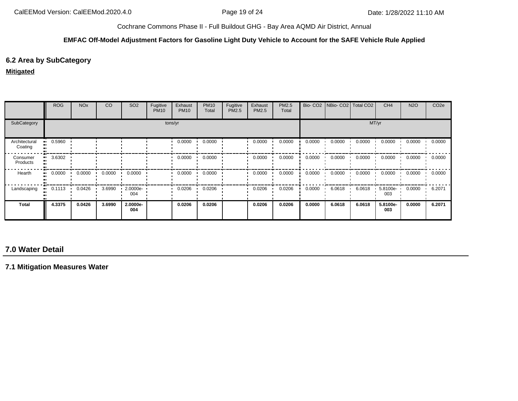#### **EMFAC Off-Model Adjustment Factors for Gasoline Light Duty Vehicle to Account for the SAFE Vehicle Rule Applied**

# **6.2 Area by SubCategory**

#### **Mitigated**

|                          | <b>ROG</b>   | <b>NO<sub>x</sub></b> | CO     | SO <sub>2</sub> | Fugitive<br><b>PM10</b> | Exhaust<br><b>PM10</b> | <b>PM10</b><br>Total | Fugitive<br>PM2.5 | Exhaust<br><b>PM2.5</b> | PM2.5<br>Total |        | Bio- CO2   NBio- CO2   Total CO2 |        | CH <sub>4</sub> | <b>N2O</b> | CO <sub>2e</sub> |
|--------------------------|--------------|-----------------------|--------|-----------------|-------------------------|------------------------|----------------------|-------------------|-------------------------|----------------|--------|----------------------------------|--------|-----------------|------------|------------------|
| SubCategory              | tons/yr      |                       |        |                 |                         |                        |                      |                   |                         |                |        |                                  |        | MT/yr           |            |                  |
| Architectural<br>Coating | 0.5960       |                       |        |                 |                         | 0.0000                 | 0.0000               |                   | 0.0000                  | 0.0000         | 0.0000 | 0.0000                           | 0.0000 | 0.0000          | 0.0000     | 0.0000           |
| Consumer<br>Products     | 3.6302       |                       |        |                 |                         | 0.0000                 | 0.0000               |                   | 0.0000                  | 0.0000         | 0.0000 | 0.0000                           | 0.0000 | 0.0000          | 0.0000     | 0.0000           |
| Hearth                   | 0.0000<br>ш. | 0.0000                | 0.0000 | 0.0000          |                         | 0.0000                 | 0.0000               |                   | 0.0000                  | 0.0000         | 0.0000 | 0.0000                           | 0.0000 | 0.0000          | 0.0000     | 0.0000           |
| Landscaping              | 0.1113       | 0.0426                | 3.6990 | 2.0000e-<br>004 |                         | 0.0206                 | 0.0206               |                   | 0.0206                  | 0.0206         | 0.0000 | 6.0618                           | 6.0618 | 5.8100e-<br>003 | 0.0000     | 6.2071           |
| <b>Total</b>             | 4.3375       | 0.0426                | 3.6990 | 2.0000e-<br>004 |                         | 0.0206                 | 0.0206               |                   | 0.0206                  | 0.0206         | 0.0000 | 6.0618                           | 6.0618 | 5.8100e-<br>003 | 0.0000     | 6.2071           |

# **7.0 Water Detail**

**7.1 Mitigation Measures Water**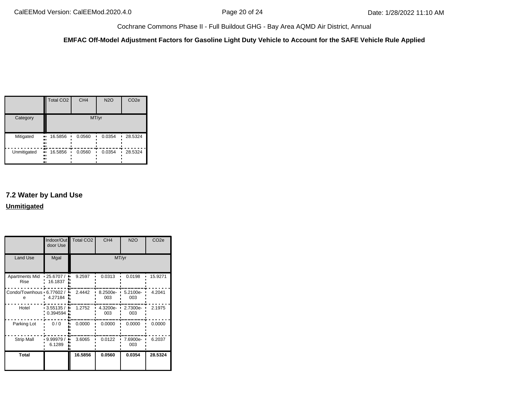#### **EMFAC Off-Model Adjustment Factors for Gasoline Light Duty Vehicle to Account for the SAFE Vehicle Rule Applied**

|             | <b>Total CO2</b>              | CH <sub>4</sub> | <b>N2O</b> | CO <sub>2e</sub> |
|-------------|-------------------------------|-----------------|------------|------------------|
| Category    |                               | MT/yr           |            |                  |
| Mitigated   | 16.5856<br>ш.<br><br>81<br>., | 0.0560          | 0.0354     | 28.5324<br>٠     |
| Unmitigated | 16.5856<br>ш<br><br><br>ш     | 0.0560          | 0.0354     | 28.5324          |

# **7.2 Water by Land Use Unmitigated**

|                               | door Use                | Indoor/Out Total CO2 | CH <sub>4</sub> | <b>N2O</b>      | CO <sub>2e</sub> |
|-------------------------------|-------------------------|----------------------|-----------------|-----------------|------------------|
| Land Use                      | Mgal                    |                      |                 | MT/yr           |                  |
| Apartments Mid<br>Rise        | $-25.6707/$<br>16.1837  | 9.2597               | 0.0313          | 0.0198          | 15.9271          |
| Condo/Townhous 6.77602 /<br>e | ۰.<br>4.27184           | 2.4442               | 8.2500e-<br>003 | 5.2100e-<br>003 | 4.2041           |
| Hotel                         | $-3.55135/$<br>0.394594 | 1.2752               | 4.3200e-<br>003 | 2.7300e-<br>003 | 2.1975           |
| Parking Lot                   | 0/0                     | 0.0000               | 0.0000          | 0.0000          | 0.0000           |
| <b>Strip Mall</b>             | 9.99979/<br>6.1289      | 3.6065               | 0.0122          | 7.6900e-<br>003 | 6.2037           |
| <b>Total</b>                  |                         | 16.5856              | 0.0560          | 0.0354          | 28.5324          |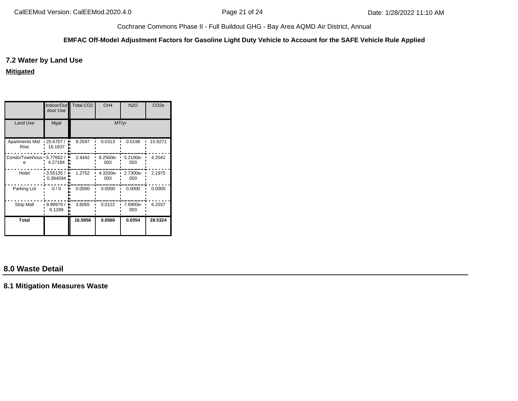#### **EMFAC Off-Model Adjustment Factors for Gasoline Light Duty Vehicle to Account for the SAFE Vehicle Rule Applied**

## **7.2 Water by Land Use**

**Mitigated**

|                                 | door Use                 | Indoor/Out Total CO2 | CH <sub>4</sub> | <b>N2O</b>      | CO <sub>2e</sub> |
|---------------------------------|--------------------------|----------------------|-----------------|-----------------|------------------|
| Land Use                        | Mgal                     |                      | MT/yr           |                 |                  |
| <b>Apartments Mid</b><br>Rise   | $-25.6707/$<br>$16.1837$ | 9.2597               | 0.0313          | 0.0198          | 15.9271          |
| Condo/Townhous · 6.77602 /<br>е | 4.27184                  | 2.4442               | 8.2500e-<br>003 | 5.2100e-<br>003 | 4.2041           |
| Hotel                           | $-3.55135/$<br>0.394594  | 1.2752               | 4.3200e-<br>003 | 2.7300e-<br>003 | 2.1975           |
| Parking Lot                     | 0/0                      | 0.0000               | 0.0000          | 0.0000          | 0.0000           |
| <b>Strip Mall</b>               | 9.99979 /<br>6.1289      | 3.6065               | 0.0122          | 7.6900e-<br>003 | 6.2037           |
| <b>Total</b>                    |                          | 16.5856              | 0.0560          | 0.0354          | 28.5324          |

# **8.0 Waste Detail**

**8.1 Mitigation Measures Waste**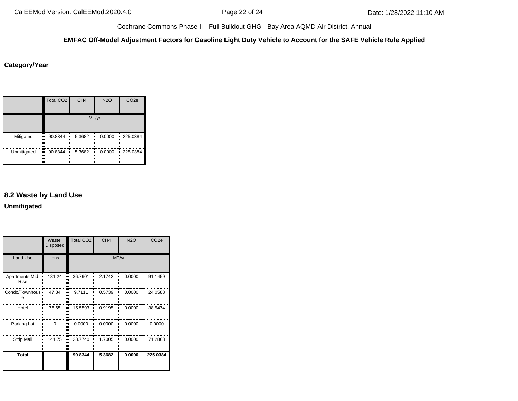#### **EMFAC Off-Model Adjustment Factors for Gasoline Light Duty Vehicle to Account for the SAFE Vehicle Rule Applied**

# **Category/Year**

|             | <b>Total CO2</b>          | CH <sub>4</sub> | <b>N2O</b> | CO <sub>2e</sub> |
|-------------|---------------------------|-----------------|------------|------------------|
|             |                           |                 | MT/yr      |                  |
| Mitigated   | 90.8344<br>ш,<br><br><br> | 5.3682          | 0.0000     | $-225.0384$      |
| Unmitigated | 90.8344<br>ш<br><br><br>  | 5.3682          | 0.0000     | 225.0384         |

# **8.2 Waste by Land Use**

**Unmitigated**

|                               | Waste<br>Disposed | Total CO <sub>2</sub> | CH <sub>4</sub> | <b>N2O</b> | CO <sub>2e</sub> |  |
|-------------------------------|-------------------|-----------------------|-----------------|------------|------------------|--|
| Land Use                      | tons              | MT/yr                 |                 |            |                  |  |
| <b>Apartments Mid</b><br>Rise | 181.24            | 36.7901               | 2.1742          | 0.0000     | 91.1459          |  |
| Condo/Townhous •<br>е         | 47.84             | 9.7111                | 0.5739          | 0.0000     | 24.0588          |  |
| Hotel                         | 76.65             | 15.5593               | 0.9195          | 0.0000     | 38.5474          |  |
| Parking Lot                   | $\Omega$          | 0.0000                | 0.0000          | 0.0000     | 0.0000           |  |
| <b>Strip Mall</b>             | 141.75            | 28.7740               | 1.7005          | 0.0000     | 71.2863          |  |
| <b>Total</b>                  |                   | 90.8344               | 5.3682          | 0.0000     | 225.0384         |  |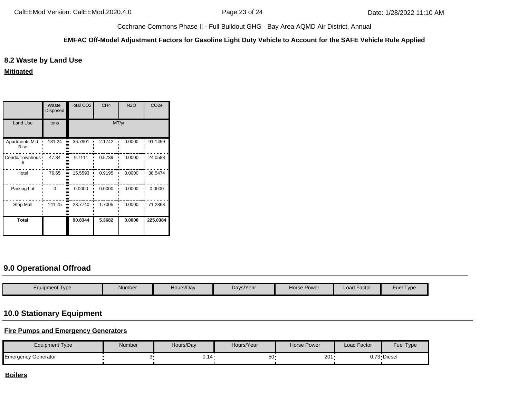#### **EMFAC Off-Model Adjustment Factors for Gasoline Light Duty Vehicle to Account for the SAFE Vehicle Rule Applied**

## **8.2 Waste by Land Use**

**Mitigated**

|                               | Waste<br><b>Disposed</b> | <b>Total CO2</b> | CH <sub>4</sub> | <b>N2O</b> | CO <sub>2e</sub> |  |
|-------------------------------|--------------------------|------------------|-----------------|------------|------------------|--|
| <b>Land Use</b>               | tons                     | MT/yr            |                 |            |                  |  |
| <b>Apartments Mid</b><br>Rise | 181.24                   | 36.7901          | 2.1742          | 0.0000     | 91.1459          |  |
| Condo/Townhous •              | 47.84                    | 9.7111           | 0.5739          | 0.0000     | 24.0588          |  |
| Hotel                         | 76.65                    | 15.5593          | 0.9195          | 0.0000     | 38.5474          |  |
| Parking Lot                   | $\Omega$                 | 0.0000           | 0.0000          | 0.0000     | 0.0000           |  |
| <b>Strip Mall</b>             | 141.75                   | 28.7740          | 1.7005          | 0.0000     | 71.2863          |  |
| <b>Total</b>                  |                          | 90.8344          | 5.3682          | 0.0000     | 225.0384         |  |

# **9.0 Operational Offroad**

| Equipment Type | Number | Hours/Day | Days/Year | Horse Power | <b>Load Factor</b> | <b>Fuel Type</b> |
|----------------|--------|-----------|-----------|-------------|--------------------|------------------|

# **10.0 Stationary Equipment**

## **Fire Pumps and Emergency Generators**

| Equipment Type      | Number | Hours/Day | Hours/Year | <b>Horse Power</b> | Load Factor | Fuel Type   |
|---------------------|--------|-----------|------------|--------------------|-------------|-------------|
| Emergency Generator |        | 0.14      | -∴∩        | 201                |             | 0.73 Diesel |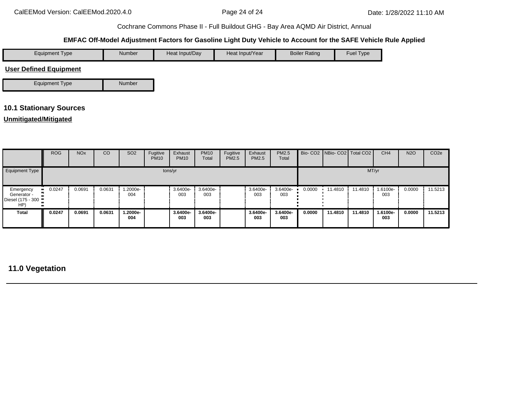# **EMFAC Off-Model Adjustment Factors for Gasoline Light Duty Vehicle to Account for the SAFE Vehicle Rule Applied**

| Equipment Type                | Number | Heat Input/Day | Heat Input/Year | <b>Boiler Rating</b> | <b>Fuel Type</b> |
|-------------------------------|--------|----------------|-----------------|----------------------|------------------|
| <b>User Defined Equipment</b> |        |                |                 |                      |                  |



# **10.1 Stationary Sources**

# **Unmitigated/Mitigated**

|                                                        | <b>ROG</b>  | <b>NO<sub>x</sub></b> | CO     | SO <sub>2</sub> | Fugitive<br><b>PM10</b> | Exhaust<br><b>PM10</b> | <b>PM10</b><br>Total | Fugitive<br><b>PM2.5</b> | Exhaust<br>PM2.5 | PM2.5<br>Total  |        | Bio- CO2 NBio- CO2 Total CO2 |         | CH <sub>4</sub> | <b>N2O</b> | CO <sub>2e</sub> |
|--------------------------------------------------------|-------------|-----------------------|--------|-----------------|-------------------------|------------------------|----------------------|--------------------------|------------------|-----------------|--------|------------------------------|---------|-----------------|------------|------------------|
| Equipment Type                                         |             |                       |        |                 | tons/yr                 |                        |                      |                          |                  |                 |        |                              | MT/yr   |                 |            |                  |
| Emergency<br>Generator -<br>Diesel (175 - 300 ·<br>HP) | 0.0247<br>. | 0.0691                | 0.0631 | .2000e-<br>004  |                         | 3.6400e-<br>003        | 3.6400e-<br>003      |                          | 3.6400e-<br>003  | 3.6400e-<br>003 | 0.0000 | 11.4810                      | 11.4810 | 1.6100e-<br>003 | 0.0000     | 11.5213          |
| Total                                                  | 0.0247      | 0.0691                | 0.0631 | .2000e-<br>004  |                         | 3.6400e-<br>003        | 3.6400e-<br>003      |                          | 3.6400e-<br>003  | 3.6400e-<br>003 | 0.0000 | 11.4810                      | 11.4810 | 1.6100e-<br>003 | 0.0000     | 11.5213          |

# **11.0 Vegetation**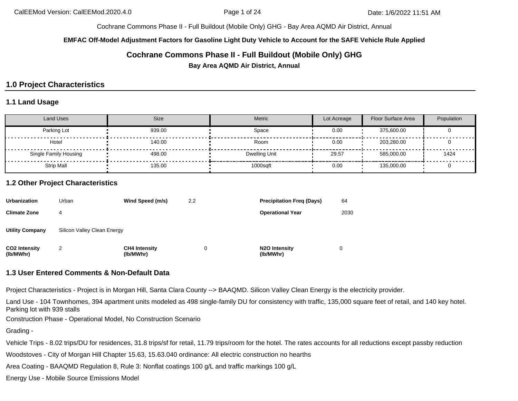#### **EMFAC Off-Model Adjustment Factors for Gasoline Light Duty Vehicle to Account for the SAFE Vehicle Rule Applied**

# **Cochrane Commons Phase II - Full Buildout (Mobile Only) GHG**

**Bay Area AQMD Air District, Annual**

# **1.0 Project Characteristics**

## **1.1 Land Usage**

| <b>Land Uses</b>      | Size   | Metric        | Lot Acreage | Floor Surface Area | Population |
|-----------------------|--------|---------------|-------------|--------------------|------------|
| Parking Lot           | 939.00 | Space         | 0.00        | 375,600.00         |            |
| Hotel                 | 140.00 | Room          | 0.00        | 203.280.00         |            |
| Single Family Housing | 498.00 | Dwelling Unit | 29.57       | 585.000.00         | 1424       |
| <b>Strip Mall</b>     | 135.00 | 1000sqft      | 0.00        | 135,000.00         |            |

## **1.2 Other Project Characteristics**

| <b>Urbanization</b>               | Urban                       | Wind Speed (m/s)                  | 2.2 | <b>Precipitation Freg (Days)</b>        | 64   |
|-----------------------------------|-----------------------------|-----------------------------------|-----|-----------------------------------------|------|
| <b>Climate Zone</b>               |                             |                                   |     | <b>Operational Year</b>                 | 2030 |
| <b>Utility Company</b>            | Silicon Valley Clean Energy |                                   |     |                                         |      |
| <b>CO2 Intensity</b><br>(lb/MWhr) | 2                           | <b>CH4 Intensity</b><br>(lb/MWhr) |     | N <sub>2</sub> O Intensity<br>(lb/MWhr) |      |

#### **1.3 User Entered Comments & Non-Default Data**

Project Characteristics - Project is in Morgan Hill, Santa Clara County --> BAAQMD. Silicon Valley Clean Energy is the electricity provider.

Land Use - 104 Townhomes, 394 apartment units modeled as 498 single-family DU for consistency with traffic, 135,000 square feet of retail, and 140 key hotel. Parking lot with 939 stalls

Construction Phase - Operational Model, No Construction Scenario

Grading -

Vehicle Trips - 8.02 trips/DU for residences, 31.8 trips/sf for retail, 11.79 trips/room for the hotel. The rates accounts for all reductions except passby reduction

Woodstoves - City of Morgan Hill Chapter 15.63, 15.63.040 ordinance: All electric construction no hearths

Area Coating - BAAQMD Regulation 8, Rule 3: Nonflat coatings 100 g/L and traffic markings 100 g/L

Energy Use - Mobile Source Emissions Model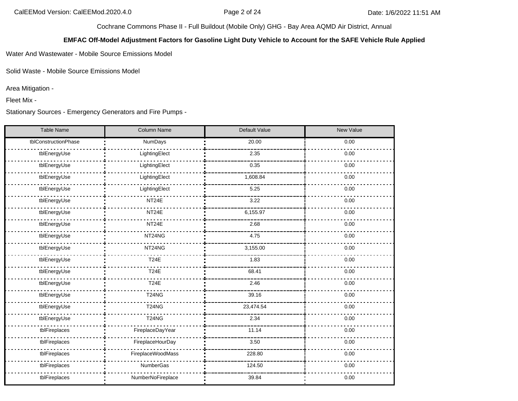## **EMFAC Off-Model Adjustment Factors for Gasoline Light Duty Vehicle to Account for the SAFE Vehicle Rule Applied**

Water And Wastewater - Mobile Source Emissions Model

Solid Waste - Mobile Source Emissions Model

Area Mitigation -

Fleet Mix -

Stationary Sources - Emergency Generators and Fire Pumps -

| <b>Table Name</b>    | Column Name       | Default Value | New Value |
|----------------------|-------------------|---------------|-----------|
| tblConstructionPhase | NumDays           | 20.00         | 0.00      |
| tblEnergyUse         | LightingElect     | 2.35          | 0.00      |
| tblEnergyUse         | LightingElect     | 0.35          | 0.00      |
| tblEnergyUse         | LightingElect     | 1,608.84      | 0.00      |
| tblEnergyUse         | LightingElect     | 5.25          | 0.00      |
| tblEnergyUse         | NT24E             | 3.22          | 0.00      |
| tblEnergyUse         | NT24E             | 6,155.97      | 0.00      |
| tblEnergyUse         | NT24E             | 2.68          | 0.00      |
| tblEnergyUse         | NT24NG            | 4.75          | 0.00      |
| tblEnergyUse         | NT24NG            | 3,155.00      | 0.00      |
| tblEnergyUse         | <b>T24E</b>       | 1.83          | 0.00      |
| tblEnergyUse         | <b>T24E</b>       | 68.41         | 0.00      |
| tblEnergyUse         | <b>T24E</b>       | 2.46          | 0.00      |
| tblEnergyUse         | <b>T24NG</b>      | 39.16         | 0.00      |
| tblEnergyUse         | <b>T24NG</b>      | 23,474.54     | 0.00      |
| tblEnergyUse         | <b>T24NG</b>      | 2.34          | 0.00      |
| tblFireplaces        | FireplaceDayYear  | 11.14         | 0.00      |
| tblFireplaces        | FireplaceHourDay  | 3.50          | 0.00      |
| tblFireplaces        | FireplaceWoodMass | 228.80        | 0.00      |
| tblFireplaces        | NumberGas         | 124.50        | 0.00      |
| tblFireplaces        | NumberNoFireplace | 39.84         | 0.00      |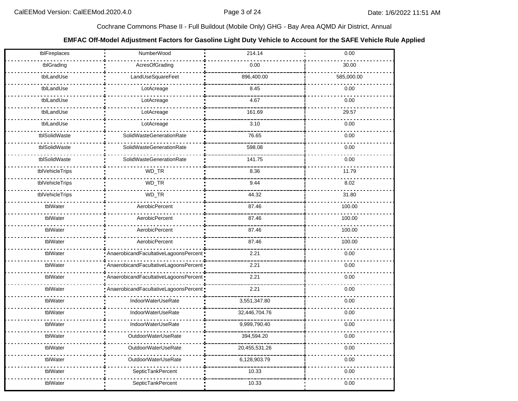## **EMFAC Off-Model Adjustment Factors for Gasoline Light Duty Vehicle to Account for the SAFE Vehicle Rule Applied**

| tblFireplaces   | NumberWood                            | 214.14        | 0.00       |
|-----------------|---------------------------------------|---------------|------------|
| tblGrading      | AcresOfGrading                        | 0.00          | 30.00      |
| tblLandUse      | LandUseSquareFeet                     | 896,400.00    | 585,000.00 |
| tblLandUse      | LotAcreage                            | 8.45          | 0.00       |
| tblLandUse      | LotAcreage                            | 4.67          | 0.00       |
| tblLandUse      | LotAcreage                            | 161.69        | 29.57      |
| tblLandUse      | LotAcreage                            | 3.10          | 0.00       |
| tblSolidWaste   | SolidWasteGenerationRate              | 76.65         | 0.00       |
| tblSolidWaste   | SolidWasteGenerationRate              | 598.08        | 0.00       |
| tblSolidWaste   | SolidWasteGenerationRate              | 141.75        | 0.00       |
| tblVehicleTrips | WD_TR                                 | 8.36          | 11.79      |
| tblVehicleTrips | WD_TR                                 | 9.44          | 8.02       |
| tblVehicleTrips | WD_TR                                 | 44.32         | 31.80      |
| tblWater        | AerobicPercent                        | 87.46         | 100.00     |
| tblWater        | AerobicPercent                        | 87.46         | 100.00     |
| tblWater        | AerobicPercent                        | 87.46         | 100.00     |
| tblWater        | AerobicPercent                        | 87.46         | 100.00     |
| tblWater        | AnaerobicandFacultativeLagoonsPercent | 2.21          | 0.00       |
| tblWater        | AnaerobicandFacultativeLagoonsPercent | 2.21          | 0.00       |
| tblWater        | AnaerobicandFacultativeLagoonsPercent | 2.21          | 0.00       |
| tblWater        | AnaerobicandFacultativeLagoonsPercent | 2.21          | 0.00       |
| tblWater        | IndoorWaterUseRate                    | 3,551,347.80  | 0.00       |
| tblWater        | IndoorWaterUseRate                    | 32,446,704.76 | 0.00       |
| tblWater        | IndoorWaterUseRate                    | 9,999,790.40  | 0.00       |
| tblWater        | OutdoorWaterUseRate                   | 394,594.20    | 0.00       |
| tblWater        | OutdoorWaterUseRate                   | 20,455,531.26 | 0.00       |
| tblWater        | OutdoorWaterUseRate                   | 6,128,903.79  | 0.00       |
| tblWater        | SepticTankPercent                     | 10.33         | 0.00       |
| tblWater        | SepticTankPercent                     | 10.33         | 0.00       |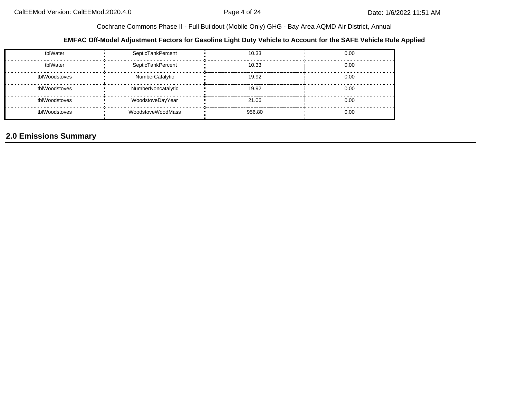#### **EMFAC Off-Model Adjustment Factors for Gasoline Light Duty Vehicle to Account for the SAFE Vehicle Rule Applied**

| tblWater      | SepticTankPercent  | 10.33  | 0.00 |
|---------------|--------------------|--------|------|
| tblWater      | SepticTankPercent  | 10.33  | 0.00 |
| tblWoodstoves | NumberCatalytic    | 19.92  | 0.00 |
| tblWoodstoves | NumberNoncatalytic | 19.92  | 0.00 |
| tblWoodstoves | WoodstoveDayYear   | 21.06  | 0.00 |
| tblWoodstoves | WoodstoveWoodMass  | 956.80 | 0.00 |

# **2.0 Emissions Summary**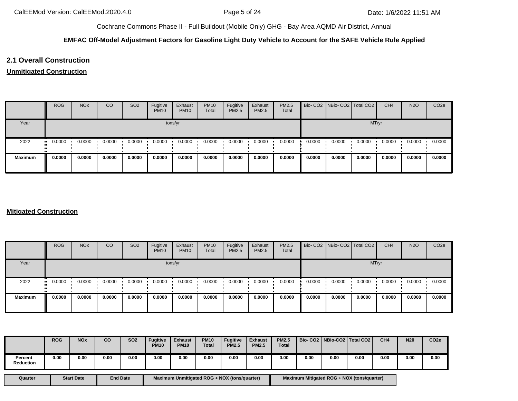#### **EMFAC Off-Model Adjustment Factors for Gasoline Light Duty Vehicle to Account for the SAFE Vehicle Rule Applied**

# **2.1 Overall Construction**

#### **Unmitigated Construction**

|                | <b>ROG</b> | <b>NO<sub>x</sub></b> | <sub>CO</sub> | SO <sub>2</sub> | Fugitive<br><b>PM10</b> | Exhaust<br><b>PM10</b> | <b>PM10</b><br>Total | Fugitive<br>PM2.5 | Exhaust<br>PM2.5 | PM2.5<br>Total |        | Bio- CO2 NBio- CO2 Total CO2 |        | CH <sub>4</sub> | <b>N2O</b> | CO <sub>2e</sub> |
|----------------|------------|-----------------------|---------------|-----------------|-------------------------|------------------------|----------------------|-------------------|------------------|----------------|--------|------------------------------|--------|-----------------|------------|------------------|
| Year           |            |                       |               |                 |                         | tons/yr                |                      |                   |                  |                |        |                              |        | MT/yr           |            |                  |
| 2022           | 0.0000<br> | 0.0000                | 0.0000        | 0.0000          | 0.0000                  | 0.0000                 | 0.0000               | 0.0000            | 0.0000           | 0.0000         | 0.0000 | 0.0000                       | 0.0000 | 0.0000          | 0.0000     | 0.0000           |
| <b>Maximum</b> | 0.0000     | 0.0000                | 0.0000        | 0.0000          | 0.0000                  | 0.0000                 | 0.0000               | 0.0000            | 0.0000           | 0.0000         | 0.0000 | 0.0000                       | 0.0000 | 0.0000          | 0.0000     | 0.0000           |

## **Mitigated Construction**

|                | <b>ROG</b>    | <b>NO<sub>x</sub></b> | CO     | SO <sub>2</sub> | Fugitive<br><b>PM10</b> | Exhaust<br><b>PM10</b> | <b>PM10</b><br><b>Total</b> | Fugitive<br>PM2.5 | Exhaust<br><b>PM2.5</b> | <b>PM2.5</b><br>Total |        | Bio- CO2   NBio- CO2   Total CO2 |        | CH <sub>4</sub> | <b>N2O</b> | CO <sub>2e</sub> |
|----------------|---------------|-----------------------|--------|-----------------|-------------------------|------------------------|-----------------------------|-------------------|-------------------------|-----------------------|--------|----------------------------------|--------|-----------------|------------|------------------|
| Year           |               |                       |        |                 |                         | tons/yr                |                             |                   |                         |                       |        |                                  |        | MT/yr           |            |                  |
| 2022           | 0.0000<br>. . | 0.0000                | 0.0000 | 0.0000          | 0.0000                  | 0.0000                 | 0.0000                      | 0.0000            | 0.0000                  | 0.0000                | 0.0000 | 0.0000                           | 0.0000 | 0.0000          | 0.0000     | 0.0000           |
| <b>Maximum</b> | 0.0000        | 0.0000                | 0.0000 | 0.0000          | 0.0000                  | 0.0000                 | 0.0000                      | 0.0000            | 0.0000                  | 0.0000                | 0.0000 | 0.0000                           | 0.0000 | 0.0000          | 0.0000     | 0.0000           |

|                             | <b>ROG</b> | <b>NO<sub>x</sub></b> | co   | SO <sub>2</sub> | <b>Fugitive</b><br><b>PM10</b> | <b>Exhaust</b><br><b>PM10</b> | <b>PM10</b><br><b>Total</b> | <b>Fugitive</b><br><b>PM2.5</b> | <b>Exhaust</b><br><b>PM2.5</b> | <b>PM2.5</b><br><b>Total</b> | Bio- CO2   NBio-CO2   Total CO2 |      |      | CH <sub>4</sub> | <b>N20</b> | CO <sub>2e</sub> |
|-----------------------------|------------|-----------------------|------|-----------------|--------------------------------|-------------------------------|-----------------------------|---------------------------------|--------------------------------|------------------------------|---------------------------------|------|------|-----------------|------------|------------------|
| Percent<br><b>Reduction</b> | 0.00       | 0.00                  | 0.00 | 0.00            | 0.00                           | 0.00                          | 0.00                        | 0.00                            | 0.00                           | 0.00                         | 0.00                            | 0.00 | 0.00 | 0.00            | 0.00       | 0.00             |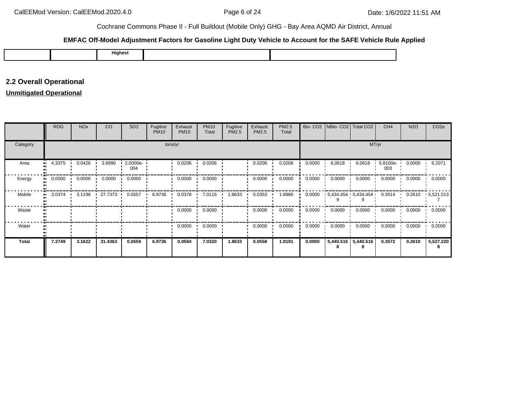#### **EMFAC Off-Model Adjustment Factors for Gasoline Light Duty Vehicle to Account for the SAFE Vehicle Rule Applied**

|--|

# **2.2 Overall Operational**

# **Unmitigated Operational**

|              | <b>ROG</b>   | <b>NO<sub>x</sub></b> | CO      | SO <sub>2</sub> | Fugitive<br><b>PM10</b> | Exhaust<br><b>PM10</b> | <b>PM10</b><br>Total | Fugitive<br>PM2.5 | Exhaust<br>PM2.5 | PM2.5<br>Total |        | Bio- CO2 NBio- CO2 Total CO2 |                     | CH <sub>4</sub> | <b>N2O</b> | CO <sub>2e</sub> |
|--------------|--------------|-----------------------|---------|-----------------|-------------------------|------------------------|----------------------|-------------------|------------------|----------------|--------|------------------------------|---------------------|-----------------|------------|------------------|
| Category     |              |                       |         |                 |                         | tons/yr                |                      |                   |                  |                |        |                              | MT/yr               |                 |            |                  |
| Area         | 4.3375<br>ш. | 0.0426                | 3.6990  | 2.0000e-<br>004 |                         | 0.0206                 | 0.0206               |                   | 0.0206           | 0.0206         | 0.0000 | 6.0618                       | 6.0618              | 5.8100e-<br>003 | 0.0000     | 6.2071           |
| Energy<br>п. | 0.0000       | 0.0000                | 0.0000  | 0.0000          |                         | 0.0000                 | 0.0000               |                   | 0.0000           | 0.0000         | 0.0000 | 0.0000                       | 0.0000              | 0.0000          | 0.0000     | 0.0000           |
| Mobile       | 3.0374<br>ш. | 3.1196                | 27.7373 | 0.0557          | 6.9736                  | 0.0378                 | 7.0115               | 1.8633            | 0.0353           | 1.8986         | 0.0000 | $5,434.454$ $5,434.454$      |                     | 0.3514          | 0.2610     | $-5,521.013$     |
| Waste        |              |                       |         |                 |                         | 0.0000                 | 0.0000               |                   | 0.0000           | 0.0000         | 0.0000 | 0.0000                       | 0.0000              | 0.0000          | 0.0000     | 0.0000           |
| Water        |              |                       |         |                 |                         | 0.0000                 | 0.0000               |                   | 0.0000           | 0.0000         | 0.0000 | 0.0000                       | 0.0000              | 0.0000          | 0.0000     | 0.0000           |
| <b>Total</b> | 7.3749       | 3.1622                | 31.4363 | 0.0559          | 6.9736                  | 0.0584                 | 7.0320               | 1.8633            | 0.0558           | 1.9191         | 0.0000 | 8                            | 5,440.516 5,440.516 | 0.3572          | 0.2610     | 5,527.220<br>8   |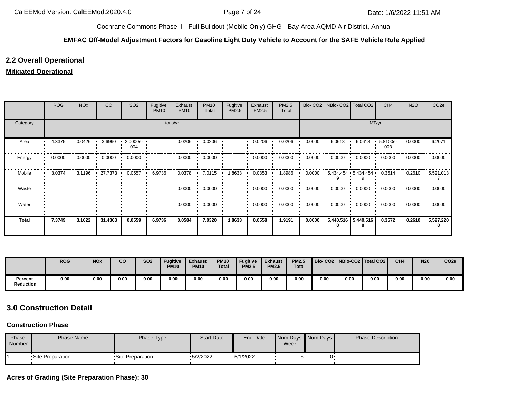#### **EMFAC Off-Model Adjustment Factors for Gasoline Light Duty Vehicle to Account for the SAFE Vehicle Rule Applied**

# **2.2 Overall Operational**

## **Mitigated Operational**

|              | <b>ROG</b> | <b>NO<sub>x</sub></b> | CO      | SO <sub>2</sub> | Fugitive<br><b>PM10</b> | Exhaust<br><b>PM10</b> | <b>PM10</b><br>Total | Fugitive<br><b>PM2.5</b> | Exhaust<br>PM2.5 | PM2.5<br>Total |        | Bio- CO2   NBio- CO2   Total CO2 |                     | CH <sub>4</sub>    | <b>N2O</b> | CO <sub>2e</sub> |
|--------------|------------|-----------------------|---------|-----------------|-------------------------|------------------------|----------------------|--------------------------|------------------|----------------|--------|----------------------------------|---------------------|--------------------|------------|------------------|
| Category     |            |                       |         |                 |                         | tons/yr                |                      |                          |                  |                |        |                                  | MT/yr               |                    |            |                  |
| Area         | 4.3375     | 0.0426                | 3.6990  | 2.0000e-<br>004 |                         | 0.0206                 | 0.0206               |                          | 0.0206           | 0.0206         | 0.0000 | 6.0618                           | 6.0618              | $5.8100e -$<br>003 | 0.0000     | 6.2071           |
| Energy       | 0.0000     | 0.0000                | 0.0000  | 0.0000          |                         | 0.0000                 | 0.0000               |                          | 0.0000           | 0.0000         | 0.0000 | 0.0000                           | 0.0000              | 0.0000             | 0.0000     | 0.0000           |
| Mobile<br>п. | 3.0374     | 3.1196                | 27.7373 | 0.0557          | 6.9736                  | 0.0378                 | 7.0115               | 1.8633                   | 0.0353           | 1.8986         | 0.0000 | $5,434.454$ $5,434.454$          |                     | 0.3514             | 0.2610     | $-5,521.013$     |
| Waste        |            |                       |         |                 |                         | 0.0000                 | 0.0000               |                          | 0.0000           | 0.0000         | 0.0000 | 0.0000                           | 0.0000              | 0.0000             | 0.0000     | 0.0000           |
| Water        |            |                       |         |                 |                         | 0.0000                 | 0.0000               |                          | 0.0000           | 0.0000         | 0.0000 | 0.0000                           | 0.0000              | 0.0000             | 0.0000     | 0.0000           |
| <b>Total</b> | 7.3749     | 3.1622                | 31.4363 | 0.0559          | 6.9736                  | 0.0584                 | 7.0320               | 1.8633                   | 0.0558           | 1.9191         | 0.0000 |                                  | 5,440.516 5,440.516 | 0.3572             | 0.2610     | 5,527.220<br>8   |

|                             | <b>ROG</b> | <b>NO<sub>x</sub></b> | co   | <b>SO2</b> | <b>Fugitive</b><br><b>PM10</b> | <b>Exhaust</b><br><b>PM10</b> | <b>PM10</b><br><b>Total</b> | <b>Fugitive</b><br><b>PM2.5</b> | <b>Exhaust</b><br><b>PM2.5</b> | <b>PM2.5</b><br><b>Total</b> |      |      | Bio-CO2   NBio-CO2   Total CO2 | CH <sub>4</sub> | <b>N20</b> | CO <sub>2e</sub> |
|-----------------------------|------------|-----------------------|------|------------|--------------------------------|-------------------------------|-----------------------------|---------------------------------|--------------------------------|------------------------------|------|------|--------------------------------|-----------------|------------|------------------|
| Percent<br><b>Reduction</b> | 0.00       | 0.00                  | 0.00 | 0.00       | 0.00                           | 0.00                          | 0.00                        | 0.00                            | 0.00                           | 0.00                         | 0.00 | 0.00 | 0.00                           | 0.00            | 0.00       | 0.00             |

# **3.0 Construction Detail**

#### **Construction Phase**

| Phase<br>Number | <b>Phase Name</b> | Phase Type        | <b>Start Date</b> | End Date | Week | Num Days Num Days | <b>Phase Description</b> |
|-----------------|-------------------|-------------------|-------------------|----------|------|-------------------|--------------------------|
|                 | •Site Preparation | •Site Preparation | $-5/2/2022$       | 5/1/2022 |      |                   |                          |

# **Acres of Grading (Site Preparation Phase): 30**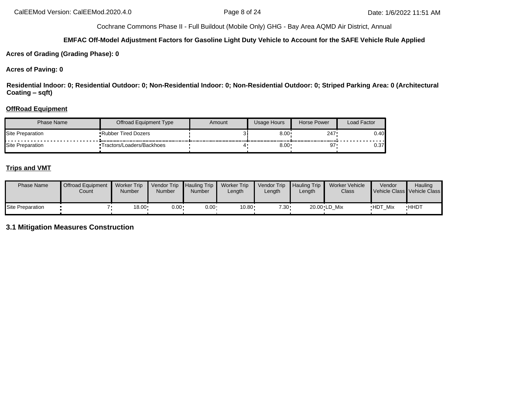#### **EMFAC Off-Model Adjustment Factors for Gasoline Light Duty Vehicle to Account for the SAFE Vehicle Rule Applied**

**Acres of Grading (Grading Phase): 0**

#### **Acres of Paving: 0**

**Residential Indoor: 0; Residential Outdoor: 0; Non-Residential Indoor: 0; Non-Residential Outdoor: 0; Striped Parking Area: 0 (Architectural Coating – sqft)**

#### **OffRoad Equipment**

| <b>Phase Name</b>       | Offroad Equipment Type     | Amount | Usage Hours  | Horse Power | Load Factor |
|-------------------------|----------------------------|--------|--------------|-------------|-------------|
| Site Preparation        | • Rubber Tired Dozers      |        | $0.00 \cdot$ | 247         | 0.40        |
| <b>Site Preparation</b> | •Tractors/Loaders/Backhoes |        | $8.00 \cdot$ | 67          | 0.37        |

## **Trips and VMT**

| <b>Phase Name</b> | <b>Offroad Equipment</b><br>Count | <b>Worker Trip</b><br>Number | Vendor Trip<br><b>Number</b> | <b>Hauling Trip</b><br>Number | <b>Worker Trip</b><br>Length | <b>Vendor Trip</b><br>Length | Hauling Trip<br>Length | Worker Vehicle<br>Class | Vendor         | Hauling<br>Vehicle Class Vehicle Class |
|-------------------|-----------------------------------|------------------------------|------------------------------|-------------------------------|------------------------------|------------------------------|------------------------|-------------------------|----------------|----------------------------------------|
| Site Preparation  |                                   | $18.00 \cdot$                | $0.00 \cdot$                 | $0.00 \cdot$                  | 10.80                        | $7.30 -$                     |                        | 20.00 LD Mix            | <b>HDT Mix</b> | <b>HHDT</b>                            |

# **3.1 Mitigation Measures Construction**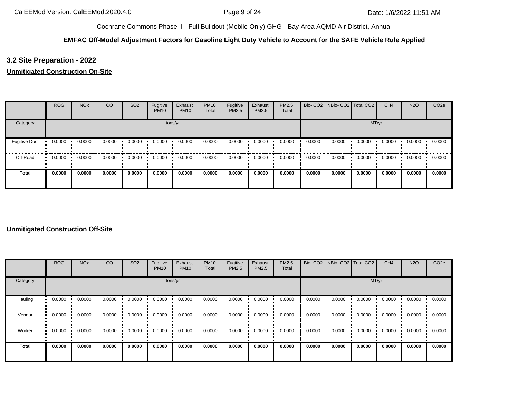#### **EMFAC Off-Model Adjustment Factors for Gasoline Light Duty Vehicle to Account for the SAFE Vehicle Rule Applied**

# **3.2 Site Preparation - 2022**

## **Unmitigated Construction On-Site**

|                      | <b>ROG</b>   | <b>NO<sub>x</sub></b> | CO     | SO <sub>2</sub> | Fugitive<br><b>PM10</b> | Exhaust<br><b>PM10</b> | <b>PM10</b><br>Total | Fugitive<br>PM2.5 | Exhaust<br><b>PM2.5</b> | <b>PM2.5</b><br>Total |        | Bio- CO2   NBio- CO2   Total CO2 |        | CH <sub>4</sub> | <b>N2O</b> | CO <sub>2e</sub> |
|----------------------|--------------|-----------------------|--------|-----------------|-------------------------|------------------------|----------------------|-------------------|-------------------------|-----------------------|--------|----------------------------------|--------|-----------------|------------|------------------|
| Category             |              |                       |        |                 |                         | tons/yr                |                      |                   |                         |                       |        |                                  | MT/yr  |                 |            |                  |
| <b>Fugitive Dust</b> | 0.0000       | 0.0000                | 0.0000 | 0.0000          | 0.0000                  | 0.0000                 | 0.0000               | 0.0000            | 0.0000                  | 0.0000                | 0.0000 | 0.0000                           | 0.0000 | 0.0000          | 0.0000     | 0.0000           |
| Off-Road             | 0.0000<br>ш. | 0.0000                | 0.0000 | 0.0000          | 0.0000                  | 0.0000                 | 0.0000               | 0.0000            | 0.0000                  | 0.0000                | 0.0000 | 0.0000                           | 0.0000 | 0.0000          | 0.0000     | 0.0000           |
| <b>Total</b>         | 0.0000       | 0.0000                | 0.0000 | 0.0000          | 0.0000                  | 0.0000                 | 0.0000               | 0.0000            | 0.0000                  | 0.0000                | 0.0000 | 0.0000                           | 0.0000 | 0.0000          | 0.0000     | 0.0000           |

## **Unmitigated Construction Off-Site**

|              | ROG    | <b>NO<sub>x</sub></b> | <sub>CO</sub> | SO <sub>2</sub> | Fugitive<br><b>PM10</b> | Exhaust<br><b>PM10</b> | <b>PM10</b><br>Total | Fugitive<br>PM2.5 | Exhaust<br>PM2.5 | <b>PM2.5</b><br>Total |        | Bio- CO2   NBio- CO2   Total CO2 |        | CH <sub>4</sub> | <b>N2O</b> | CO <sub>2e</sub> |
|--------------|--------|-----------------------|---------------|-----------------|-------------------------|------------------------|----------------------|-------------------|------------------|-----------------------|--------|----------------------------------|--------|-----------------|------------|------------------|
| Category     |        |                       |               |                 |                         | tons/yr                |                      |                   |                  |                       |        |                                  | MT/yr  |                 |            |                  |
| Hauling      | 0.0000 | 0.0000                | 0.0000        | 0.0000          | 0.0000                  | 0.0000                 | 0.0000               | 0.0000            | 0.0000           | 0.0000                | 0.0000 | 0.0000                           | 0.0000 | 0.0000          | 0.0000     | 0.0000           |
| Vendor       | 0.0000 | 0.0000                | 0.0000        | 0.0000          | 0.0000                  | 0.0000                 | 0.0000               | 0.0000            | 0.0000           | 0.0000                | 0.0000 | 0.0000                           | 0.0000 | 0.0000          | 0.0000     | 0.0000           |
| Worker       | 0.0000 | 0.0000                | 0.0000        | 0.0000          | 0.0000                  | 0.0000                 | 0.0000               | 0.0000            | 0.0000           | 0.0000                | 0.0000 | 0.0000                           | 0.0000 | 0.0000          | 0.0000     | 0.0000           |
| <b>Total</b> | 0.0000 | 0.0000                | 0.0000        | 0.0000          | 0.0000                  | 0.0000                 | 0.0000               | 0.0000            | 0.0000           | 0.0000                | 0.0000 | 0.0000                           | 0.0000 | 0.0000          | 0.0000     | 0.0000           |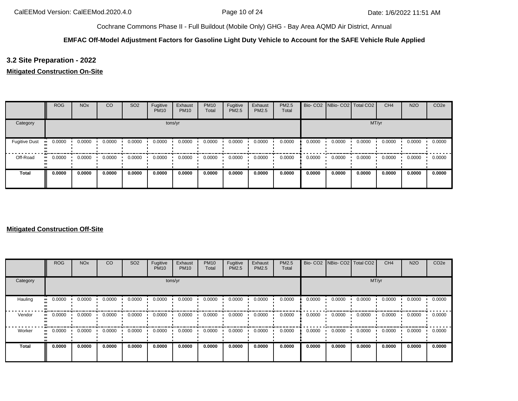#### **EMFAC Off-Model Adjustment Factors for Gasoline Light Duty Vehicle to Account for the SAFE Vehicle Rule Applied**

# **3.2 Site Preparation - 2022**

## **Mitigated Construction On-Site**

|                      | <b>ROG</b> | <b>NO<sub>x</sub></b> | CO     | SO <sub>2</sub> | Fugitive<br><b>PM10</b> | Exhaust<br><b>PM10</b> | <b>PM10</b><br>Total | Fugitive<br>PM2.5 | Exhaust<br><b>PM2.5</b> | PM2.5<br>Total |        | Bio- CO2 NBio- CO2 Total CO2 |        | CH <sub>4</sub> | <b>N2O</b> | CO <sub>2e</sub> |
|----------------------|------------|-----------------------|--------|-----------------|-------------------------|------------------------|----------------------|-------------------|-------------------------|----------------|--------|------------------------------|--------|-----------------|------------|------------------|
| Category             |            |                       |        |                 |                         | tons/yr                |                      |                   |                         |                |        |                              | MT/yr  |                 |            |                  |
| <b>Fugitive Dust</b> | 0.0000     | 0.0000                | 0.0000 | 0.0000          | 0.0000                  | 0.0000                 | 0.0000               | 0.0000            | 0.0000                  | 0.0000         | 0.0000 | 0.0000                       | 0.0000 | 0.0000          | 0.0000     | 0.0000           |
| Off-Road             | 0.0000<br> | 0.0000                | 0.0000 | 0.0000          | 0.0000                  | 0.0000                 | 0.0000               | 0.0000            | 0.0000                  | 0.0000         | 0.0000 | 0.0000                       | 0.0000 | 0.0000          | 0.0000     | 0.0000           |
| <b>Total</b>         | 0.0000     | 0.0000                | 0.0000 | 0.0000          | 0.0000                  | 0.0000                 | 0.0000               | 0.0000            | 0.0000                  | 0.0000         | 0.0000 | 0.0000                       | 0.0000 | 0.0000          | 0.0000     | 0.0000           |

## **Mitigated Construction Off-Site**

|              | <b>ROG</b> | <b>NO<sub>x</sub></b> | CO     | SO <sub>2</sub> | Fugitive<br><b>PM10</b> | Exhaust<br><b>PM10</b> | <b>PM10</b><br>Total | Fugitive<br><b>PM2.5</b> | Exhaust<br>PM2.5 | <b>PM2.5</b><br>Total |        | Bio- CO2   NBio- CO2   Total CO2 |        | CH <sub>4</sub> | <b>N2O</b> | CO <sub>2e</sub> |
|--------------|------------|-----------------------|--------|-----------------|-------------------------|------------------------|----------------------|--------------------------|------------------|-----------------------|--------|----------------------------------|--------|-----------------|------------|------------------|
| Category     |            |                       |        |                 |                         | tons/yr                |                      |                          |                  |                       |        |                                  | MT/yr  |                 |            |                  |
| Hauling      | 0.0000     | 0.0000                | 0.0000 | 0.0000          | 0.0000                  | 0.0000                 | 0.0000               | 0.0000                   | 0.0000           | 0.0000                | 0.0000 | 0.0000                           | 0.0000 | 0.0000          | 0.0000     | 0.0000           |
| Vendor       | 0.0000     | 0.0000                | 0.0000 | 0.0000          | 0.0000                  | 0.0000                 | 0.0000               | 0.0000                   | 0.0000           | 0.0000                | 0.0000 | 0.0000                           | 0.0000 | 0.0000          | 0.0000     | 0.0000           |
| Worker       | 0.0000     | 0.0000                | 0.0000 | 0.0000          | 0.0000                  | 0.0000                 | 0.0000               | 0.0000                   | 0.0000           | 0.0000                | 0.0000 | 0.0000                           | 0.0000 | 0.0000          | 0.0000     | 0.0000           |
| <b>Total</b> | 0.0000     | 0.0000                | 0.0000 | 0.0000          | 0.0000                  | 0.0000                 | 0.0000               | 0.0000                   | 0.0000           | 0.0000                | 0.0000 | 0.0000                           | 0.0000 | 0.0000          | 0.0000     | 0.0000           |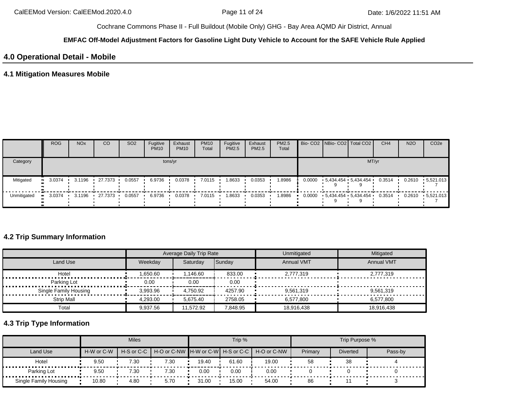#### **EMFAC Off-Model Adjustment Factors for Gasoline Light Duty Vehicle to Account for the SAFE Vehicle Rule Applied**

# **4.0 Operational Detail - Mobile**

# **4.1 Mitigation Measures Mobile**

|             | <b>ROG</b> | <b>NO<sub>x</sub></b> | CO        | SO <sub>2</sub> | Fugitive<br><b>PM10</b> | Exhaust<br><b>PM10</b> | <b>PM10</b><br>Total | Fugitive<br>PM2.5 | Exhaust<br>PM2.5 | <b>PM2.5</b><br>Total |  | Bio- CO2 NBio- CO2 Total CO2              | CH <sub>4</sub> | <b>N2O</b> | CO <sub>2e</sub> |
|-------------|------------|-----------------------|-----------|-----------------|-------------------------|------------------------|----------------------|-------------------|------------------|-----------------------|--|-------------------------------------------|-----------------|------------|------------------|
| Category    |            |                       |           |                 |                         | tons/yr                |                      |                   |                  |                       |  | MT/yr                                     |                 |            |                  |
| Mitigated   | 3.0374     | 3.1196                | 27.7373 • | 0.0557          | 6.9736                  | 0.0378                 | 7.0115               | 1.8633            | 0.0353           | 8986.                 |  | $0.0000$ $5.434.454$ $5.434.454$ $6.0000$ | 0.3514          | 0.2610     | $-5,521.013$     |
| Unmitigated | 3.0374     | 3.1196                | .27.7373  | 0.0557          | 6.9736                  | 0.0378                 | 7.0115               | 1.8633            | 0.0353           | 1.8986                |  | $0.0000$ $5.434.454$ $5.434.454$          | 0.3514          | 0.2610     | $-5,521.013$     |

# **4.2 Trip Summary Information**

|                       |          | Average Daily Trip Rate |          | Unmitigated       | Mitigated         |
|-----------------------|----------|-------------------------|----------|-------------------|-------------------|
| Land Use              | Weekdav  | Saturday                | Sunday   | <b>Annual VMT</b> | <b>Annual VMT</b> |
| Hotel                 | 1.650.60 | 1,146.60                | 833.00   | 2,777,319         | 2.777.319         |
| Parking Lot           | 0.00     | 0.00                    | 0.00     |                   |                   |
| Single Family Housing | 3,993.96 | 4.750.92                | 4257.90  | 9.561.319         | 9.561.319         |
| <b>Strip Mall</b>     | 4.293.00 | 5.675.40                | 2758.05  | 6.577.800         | 6.577.800         |
| Total                 | 9,937.56 | 11.572.92               | 7.848.95 | 18,916,438        | 18.916.438        |

# **4.3 Trip Type Information**

|                       |            | <b>Miles</b> |      |       | Trip % |                                                                  |         | Trip Purpose %  |         |
|-----------------------|------------|--------------|------|-------|--------|------------------------------------------------------------------|---------|-----------------|---------|
| <b>Land Use</b>       | H-W or C-W |              |      |       |        | H-S or C-C   H-O or C-NW   H-W or C-W   H-S or C-C   H-O or C-NW | Primary | <b>Diverted</b> | Pass-by |
| Hotel                 | 9.50       | 7.30         | 7.30 | 19.40 | 61.60  | 19.00                                                            | 58      | -38             |         |
| Parking Lot           | 9.50       | 7.30         | 7.30 | 0.00  | 0.00   | 0.00                                                             |         |                 |         |
| Single Family Housing | 10.80      | 4.80         | 5.70 | 31.00 | 15.00  | 54.00                                                            | 86      |                 |         |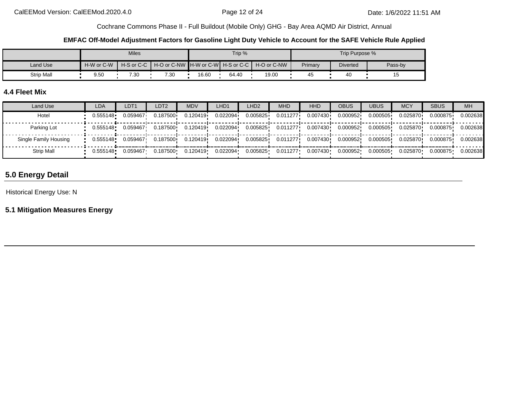#### **EMFAC Off-Model Adjustment Factors for Gasoline Light Duty Vehicle to Account for the SAFE Vehicle Rule Applied**

|            |            | <b>Miles</b> |                                                    |       | Trip % |             |         | Trip Purpose %  |         |
|------------|------------|--------------|----------------------------------------------------|-------|--------|-------------|---------|-----------------|---------|
| Land Use   | H-W or C-W |              | H-S or C-C   H-O or C-NW   H-W or C-W   H-S or C-C |       |        | H-O or C-NW | Primary | <b>Diverted</b> | Pass-by |
| Strip Mall | 9.50       | 7.30         | 7.30                                               | 16.60 | 64.40  | 19.00       | 45      | 40              | ט ו     |

## **4.4 Fleet Mix**

| Land Use              | <b>LDA</b> | LDT1     | LDT2     | MDV      | LHD1.    | LHD <sub>2</sub> | <b>MHD</b> | <b>HHD</b> | <b>OBUS</b> | <b>UBUS</b> | <b>MCY</b> | <b>SBUS</b> | <b>MH</b> |
|-----------------------|------------|----------|----------|----------|----------|------------------|------------|------------|-------------|-------------|------------|-------------|-----------|
| Hotel                 | 0.555148   | 0.059467 | 0.187500 | 0.120419 | 0.022094 | 0.005825         | 0.011277   | 0.007430   | 0.000952    | 0.000505    | 0.025870   | 0.000875    | 0.002638  |
| Parking Lot           | 0.555148   | 0.059467 | 0.187500 | 0.120419 | 0.022094 | 0.005825         | 0.011277   | 0.007430   | 0.000952    | 0.000505    | 0.025870   | 0.000875    | 0.002638  |
| Single Family Housing | 0.555148   | 0.059467 | 0.187500 | 0.120419 | 0.022094 | 0.005825         | 0.011277   | 0.007430   | 0.000952    | 0.000505    | 0.025870   | 0.000875    | 0.002638  |
| Strip Mall            | 0.555148   | 0.059467 | 0.187500 | 0.120419 | 0.022094 | 0.005825         | 0.011277   | 0.007430   | 0.000952    | 0.000505    | 0.025870   | 0.000875    | 0.002638  |

# **5.0 Energy Detail**

Historical Energy Use: N

**5.1 Mitigation Measures Energy**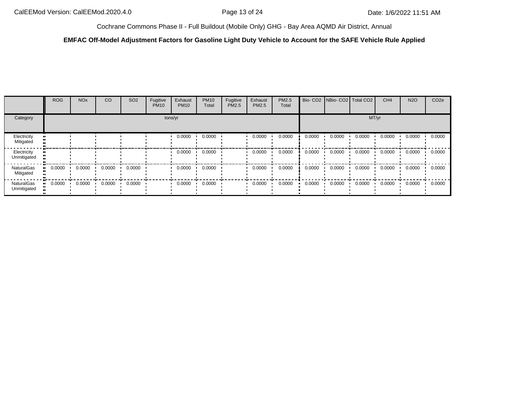#### **EMFAC Off-Model Adjustment Factors for Gasoline Light Duty Vehicle to Account for the SAFE Vehicle Rule Applied**

|                            | ROG    | <b>NO<sub>x</sub></b>   | CO     | SO <sub>2</sub> | Fugitive<br><b>PM10</b> | Exhaust<br><b>PM10</b>  | <b>PM10</b><br>Total | Fugitive<br>PM2.5 | Exhaust<br>PM2.5 | PM2.5<br>Total |        | Bio- CO2   NBio- CO2   Total CO2 |        | CH <sub>4</sub> | <b>N2O</b> | CO <sub>2e</sub> |
|----------------------------|--------|-------------------------|--------|-----------------|-------------------------|-------------------------|----------------------|-------------------|------------------|----------------|--------|----------------------------------|--------|-----------------|------------|------------------|
| Category                   |        |                         |        |                 |                         | tons/yr                 |                      |                   |                  |                |        |                                  | MT/yr  |                 |            |                  |
| Electricity<br>Mitigated   |        |                         |        |                 |                         | 0.0000                  | 0.0000               |                   | 0.0000           | 0.0000         | 0.0000 | 0.0000                           | 0.0000 | 0.0000          | 0.0000     | 0.0000           |
| Electricity<br>Unmitigated |        |                         |        |                 |                         | 0.0000                  | 0.0000               |                   | 0.0000           | 0.0000         | 0.0000 | 0.0000                           | 0.0000 | 0.0000          | 0.0000     | 0.0000           |
| NaturalGas<br>Mitigated    | 0.0000 | 0.0000                  | 0.0000 | 0.0000          |                         | 0.0000                  | 0.0000               |                   | 0.0000           | 0.0000         | 0.0000 | 0.0000                           | 0.0000 | 0.0000          | 0.0000     | 0.0000           |
| NaturalGas<br>Unmitigated  | 0.0000 | $0.0000$ $\blacksquare$ | 0.0000 | 0.0000          |                         | $0.0000$ $\cdot$ 0.0000 |                      |                   | 0.0000           | 0.0000         | 0.0000 | $0.0000$ $\blacksquare$<br>. .   | 0.0000 | 0.0000          | 0.0000     | 0.0000           |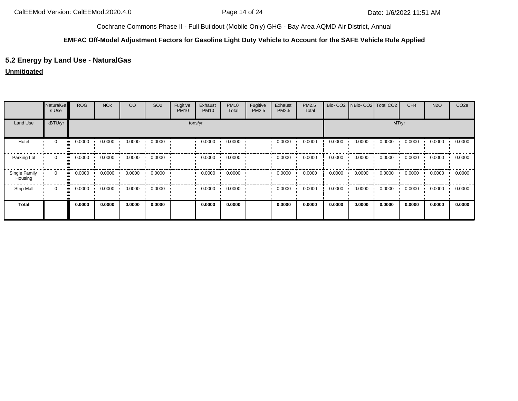#### **EMFAC Off-Model Adjustment Factors for Gasoline Light Duty Vehicle to Account for the SAFE Vehicle Rule Applied**

# **5.2 Energy by Land Use - NaturalGas**

## **Unmitigated**

|                          | <b>NaturalGa</b><br>s Use | <b>ROG</b>   | <b>NO<sub>x</sub></b> | CO     | SO <sub>2</sub> | Fugitive<br><b>PM10</b> | Exhaust<br><b>PM10</b> | <b>PM10</b><br>Total | Fugitive<br><b>PM2.5</b> | Exhaust<br>PM2.5 | PM2.5<br>Total | Bio-CO <sub>2</sub> | NBio- CO2   Total CO2 |        | CH <sub>4</sub> | <b>N2O</b> | CO <sub>2e</sub> |
|--------------------------|---------------------------|--------------|-----------------------|--------|-----------------|-------------------------|------------------------|----------------------|--------------------------|------------------|----------------|---------------------|-----------------------|--------|-----------------|------------|------------------|
| Land Use                 | kBTU/yr                   |              |                       |        |                 |                         | tons/yr                |                      |                          |                  |                |                     |                       | MT/yr  |                 |            |                  |
| Hotel                    | $\mathbf 0$               | 0.0000       | 0.0000                | 0.0000 | 0.0000          |                         | 0.0000                 | 0.0000               |                          | 0.0000           | 0.0000         | 0.0000              | 0.0000                | 0.0000 | 0.0000          | 0.0000     | 0.0000           |
| Parking Lot              | $\mathbf 0$               | 0.0000<br>ш. | 0.0000                | 0.0000 | 0.0000          |                         | 0.0000                 | 0.0000               |                          | 0.0000           | 0.0000         | 0.0000              | 0.0000                | 0.0000 | 0.0000          | 0.0000     | 0.0000           |
| Single Family<br>Housing | $\mathbf 0$               | 0.0000<br>ш. | 0.0000                | 0.0000 | 0.0000          |                         | 0.0000                 | 0.0000               |                          | 0.0000           | 0.0000         | 0.0000              | 0.0000                | 0.0000 | 0.0000          | 0.0000     | 0.0000           |
| <b>Strip Mall</b>        | 0                         | 0.0000<br>ш. | 0.0000                | 0.0000 | 0.0000          |                         | 0.0000                 | 0.0000               |                          | 0.0000           | 0.0000         | 0.0000              | 0.0000                | 0.0000 | 0.0000          | 0.0000     | 0.0000           |
| Total                    |                           | 0.0000       | 0.0000                | 0.0000 | 0.0000          |                         | 0.0000                 | 0.0000               |                          | 0.0000           | 0.0000         | 0.0000              | 0.0000                | 0.0000 | 0.0000          | 0.0000     | 0.0000           |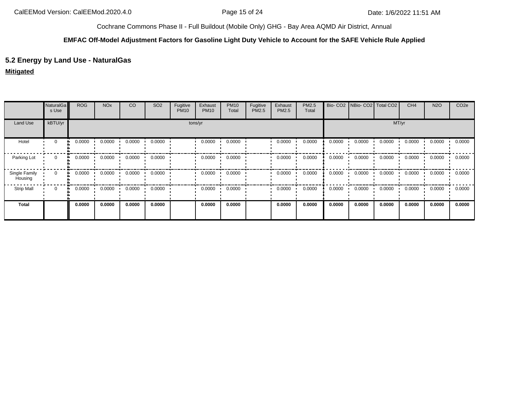#### **EMFAC Off-Model Adjustment Factors for Gasoline Light Duty Vehicle to Account for the SAFE Vehicle Rule Applied**

# **5.2 Energy by Land Use - NaturalGas**

## **Mitigated**

|                          | <b>NaturalGa</b><br>s Use | <b>ROG</b>   | <b>NO<sub>x</sub></b> | CO     | SO <sub>2</sub> | Fugitive<br><b>PM10</b> | Exhaust<br><b>PM10</b> | <b>PM10</b><br>Total | Fugitive<br>PM2.5 | Exhaust<br>PM2.5 | PM2.5<br>Total |        |        | Bio- CO2   NBio- CO2   Total CO2 | CH <sub>4</sub> | <b>N2O</b> | CO <sub>2e</sub> |
|--------------------------|---------------------------|--------------|-----------------------|--------|-----------------|-------------------------|------------------------|----------------------|-------------------|------------------|----------------|--------|--------|----------------------------------|-----------------|------------|------------------|
| Land Use                 | kBTU/yr                   |              |                       |        |                 |                         | tons/yr                |                      |                   |                  |                |        |        | MT/yr                            |                 |            |                  |
| Hotel                    | $\mathbf 0$               | 0.0000       | 0.0000                | 0.0000 | 0.0000          |                         | 0.0000                 | 0.0000               |                   | 0.0000           | 0.0000         | 0.0000 | 0.0000 | 0.0000                           | 0.0000          | 0.0000     | 0.0000           |
| Parking Lot              | 0                         | 0.0000<br>ш. | 0.0000                | 0.0000 | 0.0000          |                         | 0.0000                 | 0.0000               |                   | 0.0000           | 0.0000         | 0.0000 | 0.0000 | 0.0000                           | 0.0000          | 0.0000     | 0.0000           |
| Single Family<br>Housing | $\mathbf 0$               | 0.0000<br>ш. | 0.0000                | 0.0000 | 0.0000          |                         | 0.0000                 | 0.0000               |                   | 0.0000           | 0.0000         | 0.0000 | 0.0000 | 0.0000                           | 0.0000          | 0.0000     | 0.0000           |
| <b>Strip Mall</b>        | 0                         | 0.0000<br>ш. | 0.0000                | 0.0000 | 0.0000          |                         | 0.0000                 | 0.0000               |                   | 0.0000           | 0.0000         | 0.0000 | 0.0000 | 0.0000                           | 0.0000          | 0.0000     | 0.0000           |
| Total                    |                           | 0.0000       | 0.0000                | 0.0000 | 0.0000          |                         | 0.0000                 | 0.0000               |                   | 0.0000           | 0.0000         | 0.0000 | 0.0000 | 0.0000                           | 0.0000          | 0.0000     | 0.0000           |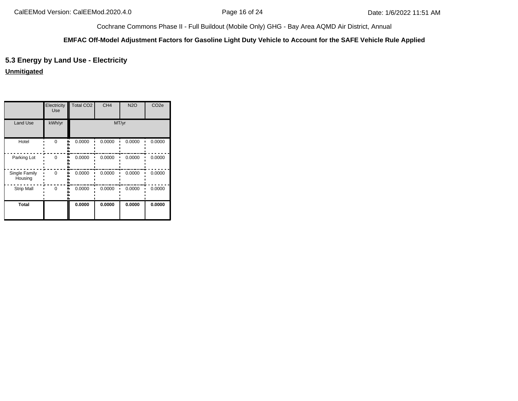#### **EMFAC Off-Model Adjustment Factors for Gasoline Light Duty Vehicle to Account for the SAFE Vehicle Rule Applied**

# **5.3 Energy by Land Use - Electricity**

**Unmitigated**

|                          | Electricity<br>Use | <b>Total CO2</b> | CH <sub>4</sub> | <b>N2O</b> | CO <sub>2e</sub> |
|--------------------------|--------------------|------------------|-----------------|------------|------------------|
| <b>Land Use</b>          | kWh/yr             |                  | MT/yr           |            |                  |
| Hotel                    | O                  | 0.0000           | 0.0000          | 0.0000     | 0.0000           |
| Parking Lot              | $\Omega$           | 0.0000           | 0.0000          | 0.0000     | 0.0000           |
| Single Family<br>Housing | $\Omega$           | 0.0000           | 0.0000          | 0.0000     | 0.0000           |
| <b>Strip Mall</b>        | $\Omega$           | 0.0000           | 0.0000          | 0.0000     | 0.0000           |
| <b>Total</b>             |                    | 0.0000           | 0.0000          | 0.0000     | 0.0000           |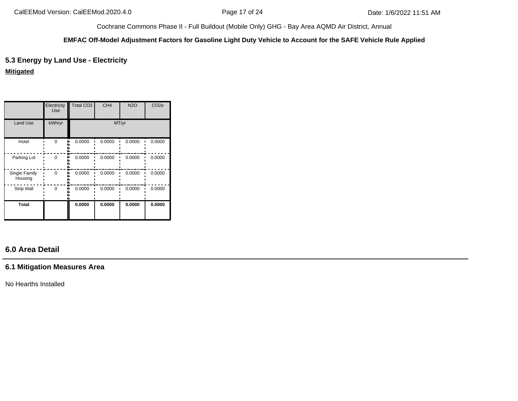#### **EMFAC Off-Model Adjustment Factors for Gasoline Light Duty Vehicle to Account for the SAFE Vehicle Rule Applied**

# **5.3 Energy by Land Use - Electricity**

**Mitigated**

|                          | Electricity<br>Use | <b>Total CO2</b> | CH <sub>4</sub> | <b>N2O</b> | CO <sub>2e</sub> |  |  |
|--------------------------|--------------------|------------------|-----------------|------------|------------------|--|--|
| Land Use                 | kWh/yr             | MT/yr            |                 |            |                  |  |  |
| Hotel                    | $\Omega$           | 0.0000           | 0.0000          | 0.0000     | 0.0000           |  |  |
| Parking Lot              | $\Omega$           | 0.0000           | 0.0000          | 0.0000     | 0.0000           |  |  |
| Single Family<br>Housing | $\Omega$           | 0.0000           | 0.0000          | 0.0000     | 0.0000           |  |  |
| <b>Strip Mall</b>        | $\Omega$           | 0.0000           | 0.0000          | 0.0000     | 0.0000           |  |  |
| <b>Total</b>             |                    | 0.0000           | 0.0000          | 0.0000     | 0.0000           |  |  |

# **6.0 Area Detail**

## **6.1 Mitigation Measures Area**

No Hearths Installed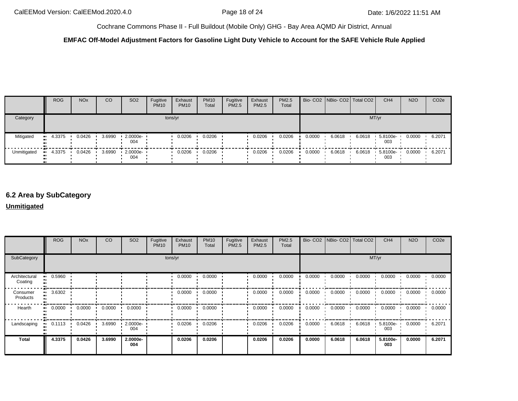## **EMFAC Off-Model Adjustment Factors for Gasoline Light Duty Vehicle to Account for the SAFE Vehicle Rule Applied**

|             | <b>ROG</b> | <b>NO<sub>x</sub></b> | CO     | SO <sub>2</sub>                 | Fugitive<br><b>PM10</b> | Exhaust<br><b>PM10</b> | <b>PM10</b><br>Total | Fugitive<br>PM2.5 | Exhaust<br><b>PM2.5</b> | PM2.5<br>Total |        | Bio- CO2 NBio- CO2 Total CO2 |        | CH <sub>4</sub> | <b>N2O</b> | CO <sub>2e</sub> |
|-------------|------------|-----------------------|--------|---------------------------------|-------------------------|------------------------|----------------------|-------------------|-------------------------|----------------|--------|------------------------------|--------|-----------------|------------|------------------|
| Category    |            |                       |        |                                 |                         | tons/yr                |                      |                   |                         |                |        |                              | MT/yr  |                 |            |                  |
| Mitigated   | 4.3375     | 0.0426                | 3.6990 | $12.0000e -$<br>004             |                         | 0.0206                 | 0.0206               |                   | 0.0206                  | 0.0206         | 0.0000 | 6.0618                       | 6.0618 | 5.8100e-<br>003 | 0.0000     | 6.2071           |
| Unmitigated | 4.3375     | 0.0426                | 3.6990 | $\cdot$ 2.0000e- $\cdot$<br>004 |                         | 0.0206                 | 0.0206               |                   | 0.0206                  | 0.0206         | 0.0000 | 6.0618                       | 6.0618 | 5.8100e-<br>003 | 0.0000     | 6.2071           |

# **6.2 Area by SubCategory**

#### **Unmitigated**

|                          | <b>ROG</b> | <b>NO<sub>x</sub></b> | CO     | SO <sub>2</sub> | Fugitive<br><b>PM10</b> | Exhaust<br><b>PM10</b> | <b>PM10</b><br>Total | Fugitive<br>PM2.5 | Exhaust<br><b>PM2.5</b> | PM2.5<br>Total |        | Bio- CO2   NBio- CO2   Total CO2 |        | CH <sub>4</sub> | <b>N2O</b> | CO <sub>2e</sub> |
|--------------------------|------------|-----------------------|--------|-----------------|-------------------------|------------------------|----------------------|-------------------|-------------------------|----------------|--------|----------------------------------|--------|-----------------|------------|------------------|
| SubCategory              |            |                       |        |                 |                         | tons/yr                |                      |                   |                         |                |        |                                  |        | MT/yr           |            |                  |
| Architectural<br>Coating | 0.5960     |                       |        |                 |                         | 0.0000                 | 0.0000               |                   | 0.0000                  | 0.0000         | 0.0000 | 0.0000                           | 0.0000 | 0.0000          | 0.0000     | 0.0000           |
| Consumer<br>Products     | 3.6302     |                       |        |                 |                         | 0.0000                 | 0.0000               |                   | 0.0000                  | 0.0000         | 0.0000 | 0.0000                           | 0.0000 | 0.0000          | 0.0000     | 0.0000           |
| Hearth                   | 0.0000     | 0.0000                | 0.0000 | 0.0000          |                         | 0.0000                 | 0.0000               |                   | 0.0000                  | 0.0000         | 0.0000 | 0.0000                           | 0.0000 | 0.0000          | 0.0000     | 0.0000           |
| Landscaping              | 0.1113     | 0.0426                | 3.6990 | 2.0000e-<br>004 |                         | 0.0206                 | 0.0206               |                   | 0.0206                  | 0.0206         | 0.0000 | 6.0618                           | 6.0618 | 5.8100e-<br>003 | 0.0000     | 6.2071           |
| Total                    | 4.3375     | 0.0426                | 3.6990 | 2.0000e-<br>004 |                         | 0.0206                 | 0.0206               |                   | 0.0206                  | 0.0206         | 0.0000 | 6.0618                           | 6.0618 | 5.8100e-<br>003 | 0.0000     | 6.2071           |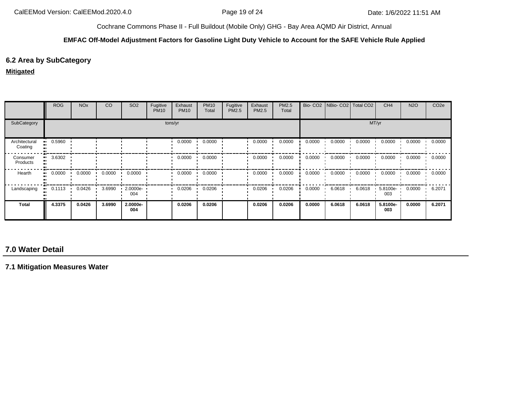#### **EMFAC Off-Model Adjustment Factors for Gasoline Light Duty Vehicle to Account for the SAFE Vehicle Rule Applied**

# **6.2 Area by SubCategory**

#### **Mitigated**

|                          | <b>ROG</b>             | <b>NO<sub>x</sub></b> | <b>CO</b> | SO <sub>2</sub> | Fugitive<br><b>PM10</b> | Exhaust<br><b>PM10</b> | <b>PM10</b><br>Total | Fugitive<br>PM2.5 | Exhaust<br><b>PM2.5</b> | PM2.5<br>Total |        | Bio- CO2   NBio- CO2   Total CO2 |        | CH <sub>4</sub> | <b>N2O</b> | CO <sub>2e</sub> |
|--------------------------|------------------------|-----------------------|-----------|-----------------|-------------------------|------------------------|----------------------|-------------------|-------------------------|----------------|--------|----------------------------------|--------|-----------------|------------|------------------|
| SubCategory              |                        |                       |           |                 |                         | tons/yr                |                      |                   |                         |                |        |                                  |        | MT/yr           |            |                  |
| Architectural<br>Coating | 0.5960                 |                       |           |                 |                         | 0.0000                 | 0.0000               |                   | 0.0000                  | 0.0000         | 0.0000 | 0.0000                           | 0.0000 | 0.0000          | 0.0000     | 0.0000           |
| Consumer<br>Products     | 3.6302                 |                       |           |                 |                         | 0.0000                 | 0.0000               |                   | 0.0000                  | 0.0000         | 0.0000 | 0.0000                           | 0.0000 | 0.0000          | 0.0000     | 0.0000           |
| Hearth                   | 0.0000<br>$\mathbf{u}$ | 0.0000                | 0.0000    | 0.0000          |                         | 0.0000                 | 0.0000               |                   | 0.0000                  | 0.0000         | 0.0000 | 0.0000<br>$\blacksquare$         | 0.0000 | 0.0000          | 0.0000     | 0.0000           |
| Landscaping              | 0.1113                 | 0.0426                | 3.6990    | 2.0000e-<br>004 |                         | 0.0206                 | 0.0206               |                   | 0.0206                  | 0.0206         | 0.0000 | 6.0618                           | 6.0618 | 5.8100e-<br>003 | 0.0000     | 6.2071           |
| <b>Total</b>             | 4.3375                 | 0.0426                | 3.6990    | 2.0000e-<br>004 |                         | 0.0206                 | 0.0206               |                   | 0.0206                  | 0.0206         | 0.0000 | 6.0618                           | 6.0618 | 5.8100e-<br>003 | 0.0000     | 6.2071           |

# **7.0 Water Detail**

**7.1 Mitigation Measures Water**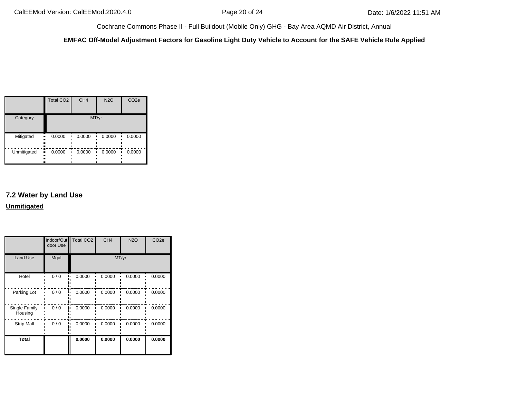**EMFAC Off-Model Adjustment Factors for Gasoline Light Duty Vehicle to Account for the SAFE Vehicle Rule Applied**

|             | <b>Total CO2</b>         | CH <sub>4</sub> | <b>N2O</b> | CO <sub>2e</sub> |
|-------------|--------------------------|-----------------|------------|------------------|
| Category    |                          | MT/yr           |            |                  |
| Mitigated   | 0.0000<br>ш<br><br><br>ш | 0.0000          | 0.0000     | 0.0000           |
| Unmitigated | 0.0000<br>ш<br><br><br>ш | 0.0000          | 0.0000     | 0.0000           |

# **7.2 Water by Land Use Unmitigated**

|                          | door Use | Indoor/Out Total CO2 | CH <sub>4</sub> | <b>N2O</b> | CO <sub>2e</sub> |
|--------------------------|----------|----------------------|-----------------|------------|------------------|
| <b>Land Use</b>          | Mgal     |                      | MT/yr           |            |                  |
| Hotel                    | 0/0      | 0.0000               | 0.0000          | 0.0000     | 0.0000           |
| Parking Lot              | 0/0      | 0.0000               | 0.0000          | 0.0000     | 0.0000           |
| Single Family<br>Housing | 0/0      | 0.0000               | 0.0000          | 0.0000     | 0.0000           |
| <b>Strip Mall</b>        | 0/0      | 0.0000               | 0.0000          | 0.0000     | 0.0000           |
| <b>Total</b>             |          | 0.0000               | 0.0000          | 0.0000     | 0.0000           |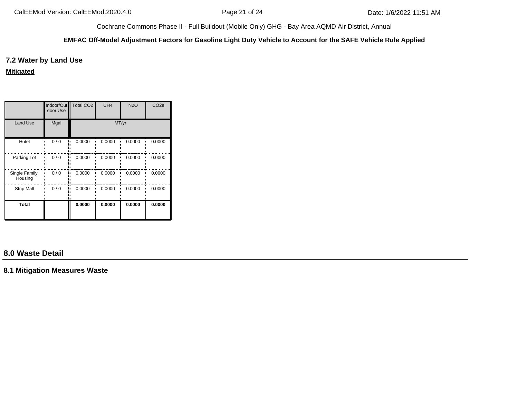#### **EMFAC Off-Model Adjustment Factors for Gasoline Light Duty Vehicle to Account for the SAFE Vehicle Rule Applied**

## **7.2 Water by Land Use**

**Mitigated**

|                          | Indoor/Out<br>door Use | <b>Total CO2</b> | CH <sub>4</sub> | <b>N2O</b> | CO <sub>2e</sub> |
|--------------------------|------------------------|------------------|-----------------|------------|------------------|
| Land Use                 | Mgal                   |                  | MT/yr           |            |                  |
| Hotel                    | 0/0                    | 0.0000           | 0.0000          | 0.0000     | 0.0000           |
| Parking Lot              | 0/0                    | 0.0000           | 0.0000          | 0.0000     | 0.0000           |
| Single Family<br>Housing | 0/0                    | 0.0000           | 0.0000          | 0.0000     | 0.0000           |
| <b>Strip Mall</b>        | 0/0                    | 0.0000           | 0.0000          | 0.0000     | 0.0000           |
| <b>Total</b>             |                        | 0.0000           | 0.0000          | 0.0000     | 0.0000           |

# **8.0 Waste Detail**

**8.1 Mitigation Measures Waste**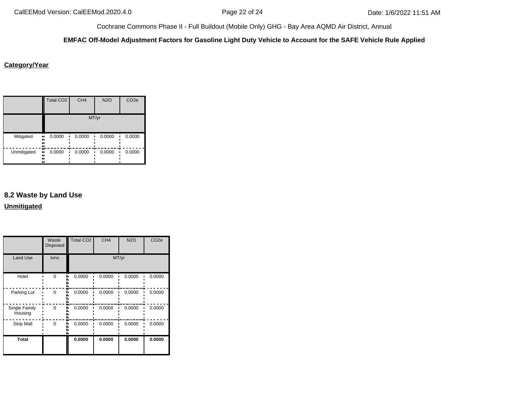#### **EMFAC Off-Model Adjustment Factors for Gasoline Light Duty Vehicle to Account for the SAFE Vehicle Rule Applied**

## **Category/Year**

|             | <b>Total CO2</b>           | CH <sub>4</sub> | <b>N2O</b> | CO <sub>2e</sub> |
|-------------|----------------------------|-----------------|------------|------------------|
|             |                            |                 | MT/yr      |                  |
| Mitigated   | 0.0000<br>ш,<br><br><br>., | 0.0000          | 0.0000     | 0.0000           |
| Unmitigated | 0.0000<br>ш,<br><br><br>ш  | 0.0000          | 0.0000     | 0.0000           |

# **8.2 Waste by Land Use Unmitigated**

|                          | Waste<br><b>Disposed</b> | <b>Total CO2</b> | CH <sub>4</sub> | <b>N2O</b> | CO <sub>2e</sub> |
|--------------------------|--------------------------|------------------|-----------------|------------|------------------|
| <b>Land Use</b>          | tons                     |                  | MT/yr           |            |                  |
| Hotel                    | $\Omega$                 | 0.0000           | 0.0000          | 0.0000     | 0.0000           |
| Parking Lot              | $\Omega$                 | 0.0000           | 0.0000          | 0.0000     | 0.0000           |
| Single Family<br>Housing | $\Omega$                 | 0.0000           | 0.0000          | 0.0000     | 0.0000           |
| <b>Strip Mall</b>        | $\Omega$                 | 0.0000           | 0.0000          | 0.0000     | 0.0000           |
| <b>Total</b>             |                          | 0.0000           | 0.0000          | 0.0000     | 0.0000           |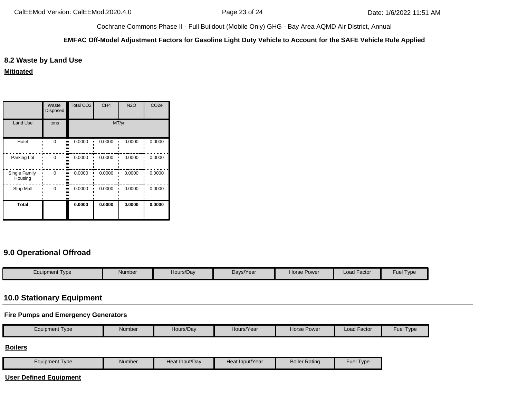#### **EMFAC Off-Model Adjustment Factors for Gasoline Light Duty Vehicle to Account for the SAFE Vehicle Rule Applied**

## **8.2 Waste by Land Use**

**Mitigated**

|                          | Waste<br><b>Disposed</b> | <b>Total CO2</b> | CH <sub>4</sub> | <b>N2O</b> | CO <sub>2e</sub> |
|--------------------------|--------------------------|------------------|-----------------|------------|------------------|
| <b>Land Use</b>          | tons                     |                  | MT/yr           |            |                  |
| Hotel                    | $\Omega$                 | 0.0000           | 0.0000          | 0.0000     | 0.0000           |
| Parking Lot              | $\Omega$                 | 0.0000           | 0.0000          | 0.0000     | 0.0000           |
| Single Family<br>Housing | $\Omega$                 | 0.0000           | 0.0000          | 0.0000     | 0.0000           |
| <b>Strip Mall</b>        | O                        | 0.0000           | 0.0000          | 0.0000     | 0.0000           |
| <b>Total</b>             |                          | 0.0000           | 0.0000          | 0.0000     | 0.0000           |

# **9.0 Operational Offroad**

| Equipment Type | Number | Hours/Day | Days/Year | <b>Horse Power</b> | Load Factor | $-$<br>and the project<br>Fuel<br>Type |
|----------------|--------|-----------|-----------|--------------------|-------------|----------------------------------------|

# **10.0 Stationary Equipment**

# **Fire Pumps and Emergency Generators**

|  | Type<br>Equipment | Number | Hours/Dav | /Year<br>Hours/ | Horse Power | Factor<br>∟oad ' | $-$ ue <sub>r</sub><br><b>I</b> vpe |
|--|-------------------|--------|-----------|-----------------|-------------|------------------|-------------------------------------|
|--|-------------------|--------|-----------|-----------------|-------------|------------------|-------------------------------------|

**Boilers**

| Equipment Type | Number | Heat Input/Dav | Heat Input/Year | <b>Boiler Rating</b> | Fuel $\tau$<br>Type |
|----------------|--------|----------------|-----------------|----------------------|---------------------|
|----------------|--------|----------------|-----------------|----------------------|---------------------|

**User Defined Equipment**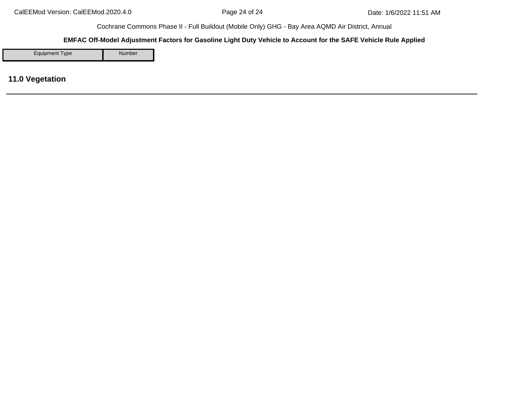#### **EMFAC Off-Model Adjustment Factors for Gasoline Light Duty Vehicle to Account for the SAFE Vehicle Rule Applied**

Equipment Type Number

**11.0 Vegetation**